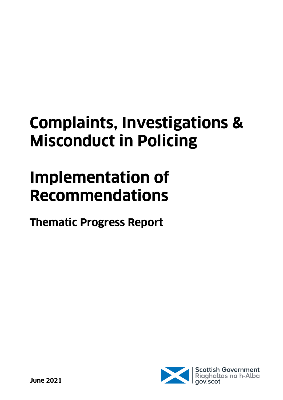# **Complaints, Investigations & Misconduct in Policing**

# **Implementation of Recommendations**

**Thematic Progress Report**

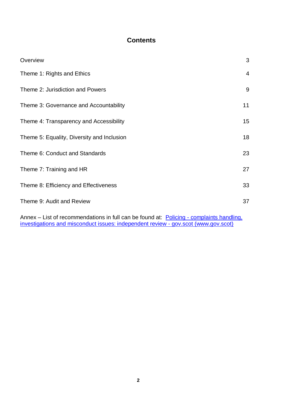## **Contents**

| Overview                                   | 3               |
|--------------------------------------------|-----------------|
| Theme 1: Rights and Ethics                 | $\overline{4}$  |
| Theme 2: Jurisdiction and Powers           | 9               |
| Theme 3: Governance and Accountability     | 11              |
| Theme 4: Transparency and Accessibility    | 15 <sub>1</sub> |
| Theme 5: Equality, Diversity and Inclusion | 18              |
| Theme 6: Conduct and Standards             | 23              |
| Theme 7: Training and HR                   | 27              |
| Theme 8: Efficiency and Effectiveness      | 33              |
| Theme 9: Audit and Review                  | 37              |

Annex - List of recommendations in full can be found at: **Policing - complaints handling**, [investigations and misconduct issues: independent review -](https://www.gov.scot/publications/independent-review-complaints-handling-investigations-misconduct-issues-relation-policing/pages/34/) gov.scot (www.gov.scot)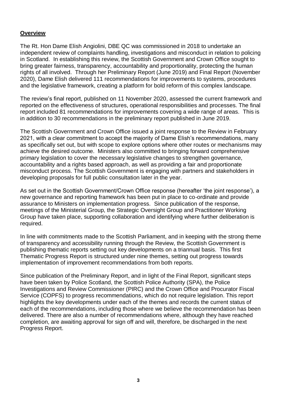### **Overview**

The Rt. Hon Dame Elish Angiolini, DBE QC was commissioned in 2018 to undertake an independent review of complaints handling, investigations and misconduct in relation to policing in Scotland. In establishing this review, the Scottish Government and Crown Office sought to bring greater fairness, transparency, accountability and proportionality, protecting the human rights of all involved. Through her Preliminary Report (June 2019) and Final Report (November 2020), Dame Elish delivered 111 recommendations for improvements to systems, procedures and the legislative framework, creating a platform for bold reform of this complex landscape.

The review's final report, published on 11 November 2020, assessed the current framework and reported on the effectiveness of structures, operational responsibilities and processes. The final report included 81 recommendations for improvements covering a wide range of areas. This is in addition to 30 recommendations in the preliminary report published in June 2019.

The Scottish Government and Crown Office issued a joint response to the Review in February 2021, with a clear commitment to accept the majority of Dame Elish's recommendations, many as specifically set out, but with scope to explore options where other routes or mechanisms may achieve the desired outcome. Ministers also committed to bringing forward comprehensive primary legislation to cover the necessary legislative changes to strengthen governance, accountability and a rights based approach, as well as providing a fair and proportionate misconduct process. The Scottish Government is engaging with partners and stakeholders in developing proposals for full public consultation later in the year.

As set out in the Scottish Government/Crown Office response (hereafter 'the joint response'), a new governance and reporting framework has been put in place to co-ordinate and provide assurance to Ministers on implementation progress. Since publication of the response, meetings of the Ministerial Group, the Strategic Oversight Group and Practitioner Working Group have taken place, supporting collaboration and identifying where further deliberation is required.

In line with commitments made to the Scottish Parliament, and in keeping with the strong theme of transparency and accessibility running through the Review, the Scottish Government is publishing thematic reports setting out key developments on a triannual basis. This first Thematic Progress Report is structured under nine themes, setting out progress towards implementation of improvement recommendations from both reports.

Since publication of the Preliminary Report, and in light of the Final Report, significant steps have been taken by Police Scotland, the Scottish Police Authority (SPA), the Police Investigations and Review Commissioner (PIRC) and the Crown Office and Procurator Fiscal Service (COPFS) to progress recommendations, which do not require legislation. This report highlights the key developments under each of the themes and records the current status of each of the recommendations, including those where we believe the recommendation has been delivered. There are also a number of recommendations where, although they have reached completion, are awaiting approval for sign off and will, therefore, be discharged in the next Progress Report.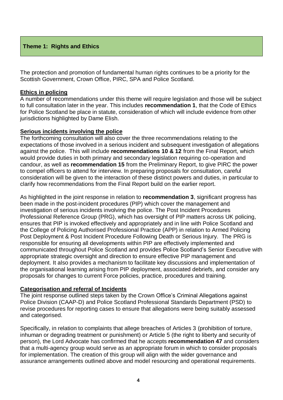### **Theme 1: Rights and Ethics**

The protection and promotion of fundamental human rights continues to be a priority for the Scottish Government, Crown Office, PIRC, SPA and Police Scotland.

### **Ethics in policing**

A number of recommendations under this theme will require legislation and those will be subject to full consultation later in the year. This includes **recommendation 1**, that the Code of Ethics for Police Scotland be place in statute, consideration of which will include evidence from other jurisdictions highlighted by Dame Elish.

### **Serious incidents involving the police**

The forthcoming consultation will also cover the three recommendations relating to the expectations of those involved in a serious incident and subsequent investigation of allegations against the police. This will include **recommendations 10 & 12** from the Final Report, which would provide duties in both primary and secondary legislation requiring co-operation and candour, as well as **recommendation 15** from the Preliminary Report, to give PIRC the power to compel officers to attend for interview. In preparing proposals for consultation, careful consideration will be given to the interaction of these distinct powers and duties, in particular to clarify how recommendations from the Final Report build on the earlier report.

As highlighted in the joint response in relation to **recommendation 3**, significant progress has been made in the post-incident procedures (PIP) which cover the management and investigation of serious incidents involving the police. The Post Incident Procedures Professional Reference Group (PRG), which has oversight of PIP matters across UK policing, ensures that PIP is invoked effectively and appropriately and in line with Police Scotland and the College of Policing Authorised Professional Practice (APP) in relation to Armed Policing Post Deployment & Post Incident Procedure Following Death or Serious Injury. The PRG is responsible for ensuring all developments within PIP are effectively implemented and communicated throughout Police Scotland and provides Police Scotland's Senior Executive with appropriate strategic oversight and direction to ensure effective PIP management and deployment. It also provides a mechanism to facilitate key discussions and implementation of the organisational learning arising from PIP deployment, associated debriefs, and consider any proposals for changes to current Force policies, practice, procedures and training.

### **Categorisation and referral of Incidents**

The joint response outlined steps taken by the Crown Office's Criminal Allegations against Police Division (CAAP-D) and Police Scotland Professional Standards Department (PSD) to revise procedures for reporting cases to ensure that allegations were being suitably assessed and categorised.

Specifically, in relation to complaints that allege breaches of Articles 3 (prohibition of torture, inhuman or degrading treatment or punishment) or Article 5 (the right to liberty and security of person), the Lord Advocate has confirmed that he accepts **recommendation 47** and considers that a multi-agency group would serve as an appropriate forum in which to consider proposals for implementation. The creation of this group will align with the wider governance and assurance arrangements outlined above and model resourcing and operational requirements.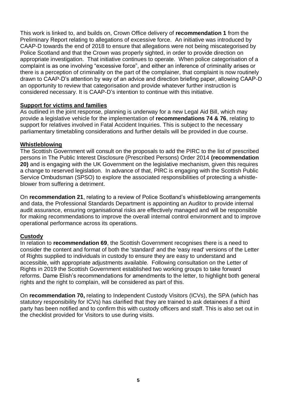This work is linked to, and builds on, Crown Office delivery of **recommendation 1** from the Preliminary Report relating to allegations of excessive force. An initiative was introduced by CAAP-D towards the end of 2018 to ensure that allegations were not being miscategorised by Police Scotland and that the Crown was properly sighted, in order to provide direction on appropriate investigation. That initiative continues to operate. When police categorisation of a complaint is as one involving "excessive force", and either an inference of criminality arises or there is a perception of criminality on the part of the complainer, that complaint is now routinely drawn to CAAP-D's attention by way of an advice and direction briefing paper, allowing CAAP-D an opportunity to review that categorisation and provide whatever further instruction is considered necessary. It is CAAP-D's intention to continue with this initiative.

### **Support for victims and families**

As outlined in the joint response, planning is underway for a new Legal Aid Bill, which may provide a legislative vehicle for the implementation of **recommendations 74 & 76**, relating to support for relatives involved in Fatal Accident Inquiries. This is subject to the necessary parliamentary timetabling considerations and further details will be provided in due course.

### **Whistleblowing**

The Scottish Government will consult on the proposals to add the PIRC to the list of prescribed persons in The Public Interest Disclosure (Prescribed Persons) Order 2014 **(recommendation 20)** and is engaging with the UK Government on the legislative mechanism, given this requires a change to reserved legislation. In advance of that, PIRC is engaging with the Scottish Public Service Ombudsman (SPSO) to explore the associated responsibilities of protecting a whistleblower from suffering a detriment.

On **recommendation 21**, relating to a review of Police Scotland's whistleblowing arrangements and data, the Professional Standards Department is appointing an Auditor to provide internal audit assurance, ensuring organisational risks are effectively managed and will be responsible for making recommendations to improve the overall internal control environment and to improve operational performance across its operations.

### **Custody**

In relation to **recommendation 69**, the Scottish Government recognises there is a need to consider the content and format of both the 'standard' and the 'easy read' versions of the Letter of Rights supplied to individuals in custody to ensure they are easy to understand and accessible, with appropriate adjustments available. Following consultation on the Letter of Rights in 2019 the Scottish Government established two working groups to take forward reforms. Dame Elish's recommendations for amendments to the letter, to highlight both general rights and the right to complain, will be considered as part of this.

On **recommendation 70,** relating to Independent Custody Visitors (ICVs), the SPA (which has statutory responsibility for ICVs) has clarified that they are trained to ask detainees if a third party has been notified and to confirm this with custody officers and staff. This is also set out in the checklist provided for Visitors to use during visits.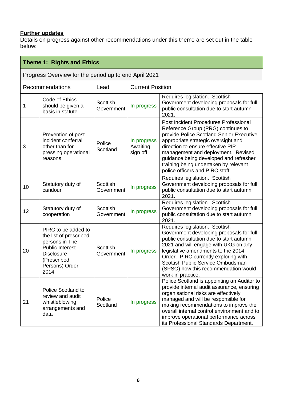### **Further updates**

| Theme 1: Rights and Ethics |                                                                                                                                                         |                               |                                     |                                                                                                                                                                                                                                                                                                                                                                 |
|----------------------------|---------------------------------------------------------------------------------------------------------------------------------------------------------|-------------------------------|-------------------------------------|-----------------------------------------------------------------------------------------------------------------------------------------------------------------------------------------------------------------------------------------------------------------------------------------------------------------------------------------------------------------|
|                            | Progress Overview for the period up to end April 2021                                                                                                   |                               |                                     |                                                                                                                                                                                                                                                                                                                                                                 |
|                            | Recommendations                                                                                                                                         | Lead                          | <b>Current Position</b>             |                                                                                                                                                                                                                                                                                                                                                                 |
| 1                          | Code of Ethics<br>should be given a<br>basis in statute.                                                                                                | Scottish<br>Government        | In progress                         | Requires legislation. Scottish<br>Government developing proposals for full<br>public consultation due to start autumn<br>2021.                                                                                                                                                                                                                                  |
| 3                          | Prevention of post<br>incident conferral<br>other than for<br>pressing operational<br>reasons                                                           | Police<br>Scotland            | In progress<br>Awaiting<br>sign off | Post Incident Procedures Professional<br>Reference Group (PRG) continues to<br>provide Police Scotland Senior Executive<br>appropriate strategic oversight and<br>direction to ensure effective PIP<br>management and deployment. Revised<br>guidance being developed and refresher<br>training being undertaken by relevant<br>police officers and PIRC staff. |
| 10                         | Statutory duty of<br>candour                                                                                                                            | <b>Scottish</b><br>Government | In progress                         | Requires legislation. Scottish<br>Government developing proposals for full<br>public consultation due to start autumn<br>2021.                                                                                                                                                                                                                                  |
| 12                         | Statutory duty of<br>cooperation                                                                                                                        | Scottish<br>Government        | In progress                         | Requires legislation. Scottish<br>Government developing proposals for full<br>public consultation due to start autumn<br>2021.                                                                                                                                                                                                                                  |
| 20                         | PIRC to be added to<br>the list of prescribed<br>persons in The<br><b>Public Interest</b><br><b>Disclosure</b><br>(Prescribed<br>Persons) Order<br>2014 | Scottish<br>Government        | In progress                         | Requires legislation. Scottish<br>Government developing proposals for full<br>public consultation due to start autumn<br>2021 and will engage with UKG on any<br>legislative amendments to the 2014<br>Order. PIRC currently exploring with<br>Scottish Public Service Ombudsman<br>(SPSO) how this recommendation would<br>work in practice.                   |
| 21                         | Police Scotland to<br>review and audit<br>whistleblowing<br>arrangements and<br>data                                                                    | Police<br>Scotland            | In progress                         | Police Scotland is appointing an Auditor to<br>provide internal audit assurance, ensuring<br>organisational risks are effectively<br>managed and will be responsible for<br>making recommendations to improve the<br>overall internal control environment and to<br>improve operational performance across<br>its Professional Standards Department.            |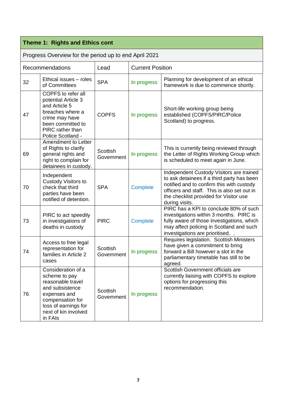# **Theme 1: Rights and Ethics cont**

| Progress Overview for the period up to end April 2021 |                                                                                                                                                                            |                        |                         |                                                                                                                                                                                                                                                |
|-------------------------------------------------------|----------------------------------------------------------------------------------------------------------------------------------------------------------------------------|------------------------|-------------------------|------------------------------------------------------------------------------------------------------------------------------------------------------------------------------------------------------------------------------------------------|
|                                                       | Recommendations                                                                                                                                                            | Lead                   | <b>Current Position</b> |                                                                                                                                                                                                                                                |
| 32                                                    | Ethical issues - roles<br>of Committees                                                                                                                                    | <b>SPA</b>             | In progress             | Planning for development of an ethical<br>framework is due to commence shortly.                                                                                                                                                                |
| 47                                                    | <b>COPFS</b> to refer all<br>potential Article 3<br>and Article 5<br>breaches where a<br>crime may have<br>been committed to<br>PIRC rather than<br>Police Scotland -      | <b>COPFS</b>           | In progress             | Short-life working group being<br>established (COPFS/PIRC/Police<br>Scotland) to progress.                                                                                                                                                     |
| 69                                                    | Amendment to Letter<br>of Rights to clarify<br>general rights and<br>right to complain for<br>detainees in custody.                                                        | Scottish<br>Government | In progress             | This is currently being reviewed through<br>the Letter of Rights Working Group which<br>is scheduled to meet again in June.                                                                                                                    |
| 70                                                    | Independent<br>Custody Visitors to<br>check that third<br>parties have been<br>notified of detention.                                                                      | <b>SPA</b>             | Complete                | Independent Custody Visitors are trained<br>to ask detainees if a third party has been<br>notified and to confirm this with custody<br>officers and staff. This is also set out in<br>the checklist provided for Visitor use<br>during visits. |
| 73                                                    | PIRC to act speedily<br>in investigations of<br>deaths in custody                                                                                                          | <b>PIRC</b>            | Complete                | PIRC has a KPI to conclude 80% of such<br>investigations within 3 months. PIRC is<br>fully aware of those investigations, which<br>may affect policing in Scotland and such<br>investigations are prioritised                                  |
| 74                                                    | Access to free legal<br>representation for<br>families in Article 2<br>cases                                                                                               | Scottish<br>Government | In progress             | Requires legislation. Scottish Ministers<br>have given a commitment to bring<br>forward a Bill however a slot in the<br>parliamentary timetable has still to be<br>agreed.                                                                     |
| 76                                                    | Consideration of a<br>scheme to pay<br>reasonable travel<br>and subsistence<br>expenses and<br>compensation for<br>loss of earnings for<br>next of kin involved<br>in FAIs | Scottish<br>Government | In progress             | Scottish Government officials are<br>currently liaising with COPFS to explore<br>options for progressing this<br>recommendation.                                                                                                               |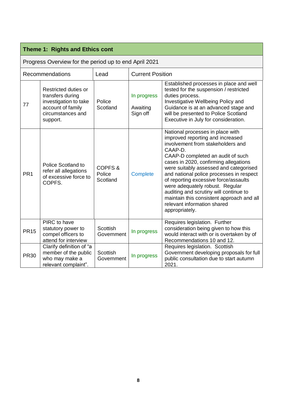|                 | Theme 1: Rights and Ethics cont                                                                                         |                               |                                     |                                                                                                                                                                                                                                                                                                                                                                                                                                                                                                              |
|-----------------|-------------------------------------------------------------------------------------------------------------------------|-------------------------------|-------------------------------------|--------------------------------------------------------------------------------------------------------------------------------------------------------------------------------------------------------------------------------------------------------------------------------------------------------------------------------------------------------------------------------------------------------------------------------------------------------------------------------------------------------------|
|                 | Progress Overview for the period up to end April 2021                                                                   |                               |                                     |                                                                                                                                                                                                                                                                                                                                                                                                                                                                                                              |
|                 | Recommendations                                                                                                         | Lead                          | <b>Current Position</b>             |                                                                                                                                                                                                                                                                                                                                                                                                                                                                                                              |
| 77              | Restricted duties or<br>transfers during<br>investigation to take<br>account of family<br>circumstances and<br>support. | Police<br>Scotland            | In progress<br>Awaiting<br>Sign off | Established processes in place and well<br>tested for the suspension / restricted<br>duties process.<br>Investigative Wellbeing Policy and<br>Guidance is at an advanced stage and<br>will be presented to Police Scotland<br>Executive in July for consideration.                                                                                                                                                                                                                                           |
| PR <sub>1</sub> | <b>Police Scotland to</b><br>refer all allegations<br>of excessive force to<br>COPFS.                                   | COPFS&<br>Police<br>Scotland  | <b>Complete</b>                     | National processes in place with<br>improved reporting and increased<br>involvement from stakeholders and<br>CAAP-D.<br>CAAP-D completed an audit of such<br>cases in 2020, confirming allegations<br>were suitably assessed and categorised<br>and national police processes in respect<br>of reporting excessive force/assaults<br>were adequately robust. Regular<br>auditing and scrutiny will continue to<br>maintain this consistent approach and all<br>relevant information shared<br>appropriately. |
| <b>PR15</b>     | PIRC to have<br>statutory power to<br>compel officers to<br>attend for interview                                        | <b>Scottish</b><br>Government | In progress                         | Requires legislation. Further<br>consideration being given to how this<br>would interact with or is overtaken by of<br>Recommendations 10 and 12.                                                                                                                                                                                                                                                                                                                                                            |
| <b>PR30</b>     | Clarify definition of "a<br>member of the public<br>who may make a<br>relevant complaint".                              | Scottish<br>Government        | In progress                         | Requires legislation. Scottish<br>Government developing proposals for full<br>public consultation due to start autumn<br>2021.                                                                                                                                                                                                                                                                                                                                                                               |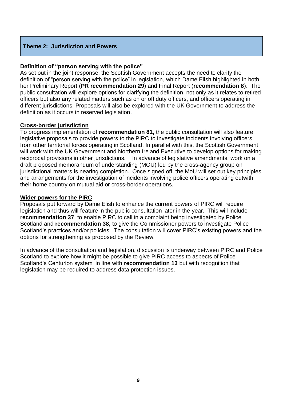### **Theme 2: Jurisdiction and Powers**

### **Definition of "person serving with the police"**

As set out in the joint response, the Scottish Government accepts the need to clarify the definition of "person serving with the police" in legislation, which Dame Elish highlighted in both her Preliminary Report (**PR recommendation 29**) and Final Report (**recommendation 8**). The public consultation will explore options for clarifying the definition, not only as it relates to retired officers but also any related matters such as on or off duty officers, and officers operating in different jurisdictions. Proposals will also be explored with the UK Government to address the definition as it occurs in reserved legislation.

### **Cross-border jurisdiction**

To progress implementation of **recommendation 81,** the public consultation will also feature legislative proposals to provide powers to the PIRC to investigate incidents involving officers from other territorial forces operating in Scotland. In parallel with this, the Scottish Government will work with the UK Government and Northern Ireland Executive to develop options for making reciprocal provisions in other jurisdictions. In advance of legislative amendments, work on a draft proposed memorandum of understanding (MOU) led by the cross‑agency group on jurisdictional matters is nearing completion. Once signed off, the MoU will set out key principles and arrangements for the investigation of incidents involving police officers operating outwith their home country on mutual aid or cross-border operations.

### **Wider powers for the PIRC**

Proposals put forward by Dame Elish to enhance the current powers of PIRC will require legislation and thus will feature in the public consultation later in the year. This will include **recommendation 37**, to enable PIRC to call in a complaint being investigated by Police Scotland and **recommendation 38,** to give the Commissioner powers to investigate Police Scotland's practices and/or policies. The consultation will cover PIRC's existing powers and the options for strengthening as proposed by the Review.

In advance of the consultation and legislation, discussion is underway between PIRC and Police Scotland to explore how it might be possible to give PIRC access to aspects of Police Scotland's Centurion system, in line with **recommendation 13** but with recognition that legislation may be required to address data protection issues.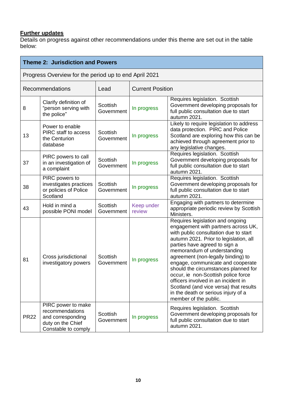### **Further updates**

|             | <b>Theme 2: Jurisdiction and Powers</b>                                                                |                               |                         |                                                                                                                                                                                                                                                                                                                                                                                                                                                                                                                                       |  |
|-------------|--------------------------------------------------------------------------------------------------------|-------------------------------|-------------------------|---------------------------------------------------------------------------------------------------------------------------------------------------------------------------------------------------------------------------------------------------------------------------------------------------------------------------------------------------------------------------------------------------------------------------------------------------------------------------------------------------------------------------------------|--|
|             | Progress Overview for the period up to end April 2021                                                  |                               |                         |                                                                                                                                                                                                                                                                                                                                                                                                                                                                                                                                       |  |
|             | Recommendations                                                                                        | Lead                          | <b>Current Position</b> |                                                                                                                                                                                                                                                                                                                                                                                                                                                                                                                                       |  |
| 8           | Clarify definition of<br>"person serving with<br>the police"                                           | <b>Scottish</b><br>Government | In progress             | Requires legislation. Scottish<br>Government developing proposals for<br>full public consultation due to start<br>autumn 2021.                                                                                                                                                                                                                                                                                                                                                                                                        |  |
| 13          | Power to enable<br><b>PIRC</b> staff to access<br>the Centurion<br>database                            | Scottish<br>Government        | In progress             | Likely to require legislation to address<br>data protection. PIRC and Police<br>Scotland are exploring how this can be<br>achieved through agreement prior to<br>any legislative changes.                                                                                                                                                                                                                                                                                                                                             |  |
| 37          | PIRC powers to call<br>in an investigation of<br>a complaint                                           | Scottish<br>Government        | In progress             | Requires legislation. Scottish<br>Government developing proposals for<br>full public consultation due to start<br>autumn 2021.                                                                                                                                                                                                                                                                                                                                                                                                        |  |
| 38          | PIRC powers to<br>investigates practices<br>or policies of Police<br>Scotland                          | Scottish<br>Government        | In progress             | Requires legislation. Scottish<br>Government developing proposals for<br>full public consultation due to start<br>autumn 2021.                                                                                                                                                                                                                                                                                                                                                                                                        |  |
| 43          | Hold in mind a<br>possible PONI model                                                                  | Scottish<br>Government        | Keep under<br>review    | Engaging with partners to determine<br>appropriate periodic review by Scottish<br>Ministers.                                                                                                                                                                                                                                                                                                                                                                                                                                          |  |
| 81          | Cross jurisdictional<br>investigatory powers                                                           | Scottish<br>Government        | In progress             | Requires legislation and ongoing<br>engagement with partners across UK,<br>with public consultation due to start<br>autumn 2021. Prior to legislation, all<br>parties have agreed to sign a<br>memorandum of understanding<br>agreement (non-legally binding) to<br>engage, communicate and cooperate<br>should the circumstances planned for<br>occur, ie non-Scottish police force<br>officers involved in an incident in<br>Scotland (and vice versa) that results<br>in the death or serious injury of a<br>member of the public. |  |
| <b>PR22</b> | PIRC power to make<br>recommendations<br>and corresponding<br>duty on the Chief<br>Constable to comply | <b>Scottish</b><br>Government | In progress             | Requires legislation. Scottish<br>Government developing proposals for<br>full public consultation due to start<br>autumn 2021.                                                                                                                                                                                                                                                                                                                                                                                                        |  |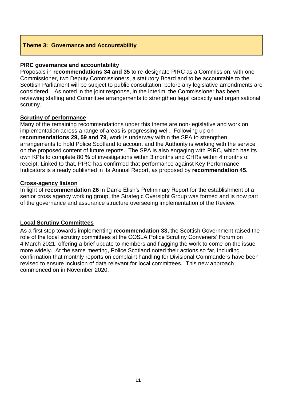### **Theme 3: Governance and Accountability**

### **PIRC governance and accountability**

Proposals in **recommendations 34 and 35** to re-designate PIRC as a Commission, with one Commissioner, two Deputy Commissioners, a statutory Board and to be accountable to the Scottish Parliament will be subject to public consultation, before any legislative amendments are considered. As noted in the joint response, in the interim, the Commissioner has been reviewing staffing and Committee arrangements to strengthen legal capacity and organisational scrutiny.

### **Scrutiny of performance**

Many of the remaining recommendations under this theme are non-legislative and work on implementation across a range of areas is progressing well. Following up on **recommendations 29, 59 and 79**, work is underway within the SPA to strengthen arrangements to hold Police Scotland to account and the Authority is working with the service on the proposed content of future reports. The SPA is also engaging with PIRC, which has its own KPIs to complete 80 % of investigations within 3 months and CHRs within 4 months of receipt. Linked to that, PIRC has confirmed that performance against Key Performance Indicators is already published in its Annual Report, as proposed by **recommendation 45.**

### **Cross-agency liaison**

In light of **recommendation 26** in Dame Elish's Preliminary Report for the establishment of a senior cross agency working group, the Strategic Oversight Group was formed and is now part of the governance and assurance structure overseeing implementation of the Review.

### **Local Scrutiny Committees**

As a first step towards implementing **recommendation 33,** the Scottish Government raised the role of the local scrutiny committees at the COSLA Police Scrutiny Conveners' Forum on 4 March 2021, offering a brief update to members and flagging the work to come on the issue more widely. At the same meeting, Police Scotland noted their actions so far, including confirmation that monthly reports on complaint handling for Divisional Commanders have been revised to ensure inclusion of data relevant for local committees. This new approach commenced on in November 2020.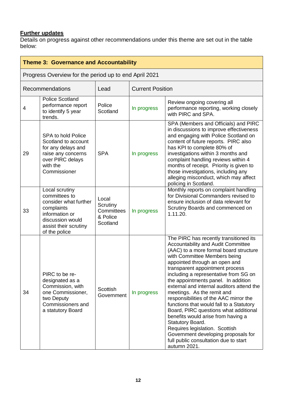### **Further updates**

| <b>Theme 3: Governance and Accountability</b> |                                                                                                                                                        |                                                         |                         |                                                                                                                                                                                                                                                                                                                                                                                                                                                                                                                                                                                                                                                                                                                  |
|-----------------------------------------------|--------------------------------------------------------------------------------------------------------------------------------------------------------|---------------------------------------------------------|-------------------------|------------------------------------------------------------------------------------------------------------------------------------------------------------------------------------------------------------------------------------------------------------------------------------------------------------------------------------------------------------------------------------------------------------------------------------------------------------------------------------------------------------------------------------------------------------------------------------------------------------------------------------------------------------------------------------------------------------------|
|                                               | Progress Overview for the period up to end April 2021                                                                                                  |                                                         |                         |                                                                                                                                                                                                                                                                                                                                                                                                                                                                                                                                                                                                                                                                                                                  |
|                                               | Recommendations                                                                                                                                        | Lead                                                    | <b>Current Position</b> |                                                                                                                                                                                                                                                                                                                                                                                                                                                                                                                                                                                                                                                                                                                  |
| 4                                             | <b>Police Scotland</b><br>performance report<br>to identify 5 year<br>trends.                                                                          | Police<br>Scotland                                      | In progress             | Review ongoing covering all<br>performance reporting, working closely<br>with PIRC and SPA.                                                                                                                                                                                                                                                                                                                                                                                                                                                                                                                                                                                                                      |
| 29                                            | <b>SPA to hold Police</b><br>Scotland to account<br>for any delays and<br>raise any concerns<br>over PIRC delays<br>with the<br>Commissioner           | <b>SPA</b>                                              | In progress             | SPA (Members and Officials) and PIRC<br>in discussions to improve effectiveness<br>and engaging with Police Scotland on<br>content of future reports. PIRC also<br>has KPI to complete 80% of<br>investigations within 3 months and<br>complaint handling reviews within 4<br>months of receipt. Priority is given to<br>those investigations, including any<br>alleging misconduct, which may affect<br>policing in Scotland.                                                                                                                                                                                                                                                                                   |
| 33                                            | Local scrutiny<br>committees to<br>consider what further<br>complaints<br>information or<br>discussion would<br>assist their scrutiny<br>of the police | Local<br>Scrutiny<br>Committees<br>& Police<br>Scotland | In progress             | Monthly reports on complaint handling<br>for Divisional Commanders revised to<br>ensure inclusion of data relevant for<br>Scrutiny Boards and commenced on<br>1.11.20.                                                                                                                                                                                                                                                                                                                                                                                                                                                                                                                                           |
| 34                                            | PIRC to be re-<br>designated as a<br>Commission, with<br>one Commissioner,<br>two Deputy<br>Commissioners and<br>a statutory Board                     | Scottish<br>Government                                  | In progress             | The PIRC has recently transitioned its<br>Accountability and Audit Committee<br>(AAC) to a more formal board structure<br>with Committee Members being<br>appointed through an open and<br>transparent appointment process<br>including a representative from SG on<br>the appointments panel. In addition<br>external and internal auditors attend the<br>meetings. As the remit and<br>responsibilities of the AAC mirror the<br>functions that would fall to a Statutory<br>Board, PIRC questions what additional<br>benefits would arise from having a<br>Statutory Board.<br>Requires legislation. Scottish<br>Government developing proposals for<br>full public consultation due to start<br>autumn 2021. |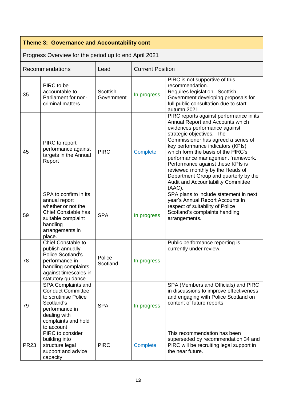# **Theme 3: Governance and Accountability cont**

| Progress Overview for the period up to end April 2021 |  |  |  |
|-------------------------------------------------------|--|--|--|
|                                                       |  |  |  |

|             | <b>Recommendations</b>                                                                                                                                            | Lead                   | <b>Current Position</b> |                                                                                                                                                                                                                                                                                                                                                                                                                                                                    |
|-------------|-------------------------------------------------------------------------------------------------------------------------------------------------------------------|------------------------|-------------------------|--------------------------------------------------------------------------------------------------------------------------------------------------------------------------------------------------------------------------------------------------------------------------------------------------------------------------------------------------------------------------------------------------------------------------------------------------------------------|
| 35          | PIRC to be<br>accountable to<br>Parliament for non-<br>criminal matters                                                                                           | Scottish<br>Government | In progress             | PIRC is not supportive of this<br>recommendation.<br>Requires legislation. Scottish<br>Government developing proposals for<br>full public consultation due to start<br>autumn 2021.                                                                                                                                                                                                                                                                                |
| 45          | PIRC to report<br>performance against<br>targets in the Annual<br>Report                                                                                          | <b>PIRC</b>            | Complete                | PIRC reports against performance in its<br>Annual Report and Accounts which<br>evidences performance against<br>strategic objectives. The<br>Commissioner has agreed a series of<br>key performance indicators (KPIs)<br>which form the basis of the PIRC's<br>performance management framework.<br>Performance against these KPIs is<br>reviewed monthly by the Heads of<br>Department Group and quarterly by the<br>Audit and Accountability Committee<br>(AAC). |
| 59          | SPA to confirm in its<br>annual report<br>whether or not the<br><b>Chief Constable has</b><br>suitable complaint<br>handling<br>arrangements in<br>place.         | <b>SPA</b>             | In progress             | SPA plans to include statement in next<br>year's Annual Report Accounts in<br>respect of suitability of Police<br>Scotland's complaints handling<br>arrangements.                                                                                                                                                                                                                                                                                                  |
| 78          | <b>Chief Constable to</b><br>publish annually<br><b>Police Scotland's</b><br>performance in<br>handling complaints<br>against timescales in<br>statutory guidance | Police<br>Scotland     | In progress             | Public performance reporting is<br>currently under review.                                                                                                                                                                                                                                                                                                                                                                                                         |
| 79          | SPA Complaints and<br><b>Conduct Committee</b><br>to scrutinise Police<br>Scotland's<br>performance in<br>dealing with<br>complaints and hold<br>to account       | <b>SPA</b>             | In progress             | SPA (Members and Officials) and PIRC<br>in discussions to improve effectiveness<br>and engaging with Police Scotland on<br>content of future reports                                                                                                                                                                                                                                                                                                               |
| <b>PR23</b> | PIRC to consider<br>building into<br>structure legal<br>support and advice<br>capacity                                                                            | <b>PIRC</b>            | Complete                | This recommendation has been<br>superseded by recommendation 34 and<br>PIRC will be recruiting legal support in<br>the near future.                                                                                                                                                                                                                                                                                                                                |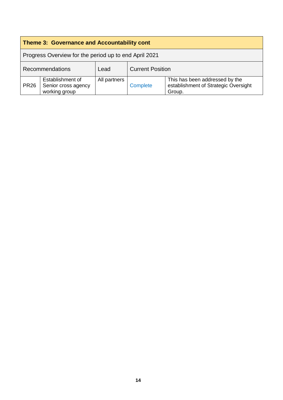| <b>Theme 3: Governance and Accountability cont</b>    |                                                          |              |                         |                                                                                  |
|-------------------------------------------------------|----------------------------------------------------------|--------------|-------------------------|----------------------------------------------------------------------------------|
| Progress Overview for the period up to end April 2021 |                                                          |              |                         |                                                                                  |
| <b>Recommendations</b><br>Lead                        |                                                          |              | <b>Current Position</b> |                                                                                  |
| <b>PR26</b>                                           | Establishment of<br>Senior cross agency<br>working group | All partners | Complete                | This has been addressed by the<br>establishment of Strategic Oversight<br>Group. |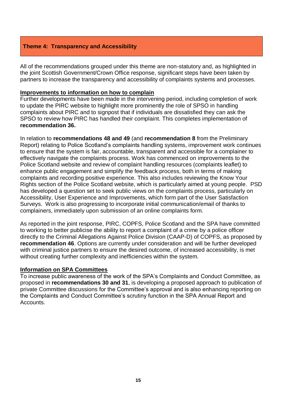### **Theme 4: Transparency and Accessibility**

All of the recommendations grouped under this theme are non-statutory and, as highlighted in the joint Scottish Government/Crown Office response, significant steps have been taken by partners to increase the transparency and accessibility of complaints systems and processes.

### **Improvements to information on how to complain**

Further developments have been made in the intervening period, including completion of work to update the PIRC website to highlight more prominently the role of SPSO in handling complaints about PIRC and to signpost that if individuals are dissatisfied they can ask the SPSO to review how PIRC has handled their complaint. This completes implementation of **recommendation 36.** 

In relation to **recommendations 48 and 49** (and **recommendation 8** from the Preliminary Report) relating to Police Scotland's complaints handling systems, improvement work continues to ensure that the system is fair, accountable, transparent and accessible for a complainer to effectively navigate the complaints process. Work has commenced on improvements to the Police Scotland website and review of complaint handling resources (complaints leaflet) to enhance public engagement and simplify the feedback process, both in terms of making complaints and recording positive experience. This also includes reviewing the Know Your Rights section of the Police Scotland website, which is particularly aimed at young people. PSD has developed a question set to seek public views on the complaints process, particularly on Accessibility, User Experience and Improvements, which form part of the User Satisfaction Surveys. Work is also progressing to incorporate initial communication/email of thanks to complainers, immediately upon submission of an online complaints form.

As reported in the joint response, PIRC, COPFS, Police Scotland and the SPA have committed to working to better publicise the ability to report a complaint of a crime by a police officer directly to the Criminal Allegations Against Police Division (CAAP-D) of COPFS, as proposed by **recommendation 46**. Options are currently under consideration and will be further developed with criminal justice partners to ensure the desired outcome, of increased accessibility, is met without creating further complexity and inefficiencies within the system.

### **Information on SPA Committees**

To increase public awareness of the work of the SPA's Complaints and Conduct Committee, as proposed in **recommendations 30 and 31**, is developing a proposed approach to publication of private Committee discussions for the Committee's approval and is also enhancing reporting on the Complaints and Conduct Committee's scrutiny function in the SPA Annual Report and Accounts.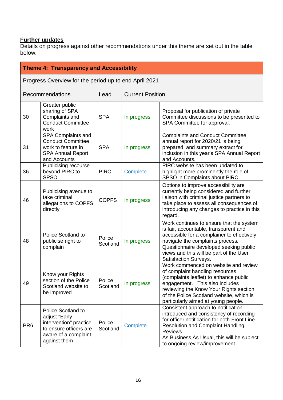### **Further updates**

| <b>Theme 4: Transparency and Accessibility</b> |                                                                                                                                 |                    |                         |                                                                                                                                                                                                                                                                                   |
|------------------------------------------------|---------------------------------------------------------------------------------------------------------------------------------|--------------------|-------------------------|-----------------------------------------------------------------------------------------------------------------------------------------------------------------------------------------------------------------------------------------------------------------------------------|
|                                                | Progress Overview for the period up to end April 2021                                                                           |                    |                         |                                                                                                                                                                                                                                                                                   |
|                                                | Recommendations                                                                                                                 | Lead               | <b>Current Position</b> |                                                                                                                                                                                                                                                                                   |
| 30                                             | Greater public<br>sharing of SPA<br>Complaints and<br><b>Conduct Committee</b><br>work                                          | <b>SPA</b>         | In progress             | Proposal for publication of private<br>Committee discussions to be presented to<br>SPA Committee for approval.                                                                                                                                                                    |
| 31                                             | SPA Complaints and<br><b>Conduct Committee</b><br>work to feature in<br><b>SPA Annual Report</b><br>and Accounts                | <b>SPA</b>         | In progress             | <b>Complaints and Conduct Committee</b><br>annual report for 2020/21 is being<br>prepared, and summary extract for<br>inclusion in this year's SPA Annual Report<br>and Accounts.                                                                                                 |
| 36                                             | Publicising recourse<br>beyond PIRC to<br><b>SPSO</b>                                                                           | <b>PIRC</b>        | Complete                | PIRC website has been updated to<br>highlight more prominently the role of<br>SPSO in Complaints about PIRC.                                                                                                                                                                      |
| 46                                             | Publicising avenue to<br>take criminal<br>allegations to COPFS<br>directly                                                      | <b>COPFS</b>       | In progress             | Options to improve accessibility are<br>currently being considered and further<br>liaison with criminal justice partners to<br>take place to assess all consequences of<br>introducing any changes to practice in this<br>regard.                                                 |
| 48                                             | Police Scotland to<br>publicise right to<br>complain                                                                            | Police<br>Scotland | In progress             | Work continues to ensure that the system<br>is fair, accountable, transparent and<br>accessible for a complainer to effectively<br>navigate the complaints process.<br>Questionnaire developed seeking public<br>views and this will be part of the User<br>Satisfaction Surveys. |
| 49                                             | Know your Rights<br>section of the Police<br>Scotland website to<br>be improved                                                 | Police<br>Scotland | In progress             | Work commenced on website and review<br>of complaint handling resources<br>(complaints leaflet) to enhance public<br>engagement. This also includes<br>reviewing the Know Your Rights section<br>of the Police Scotland website, which is<br>particularly aimed at young people.  |
| PR <sub>6</sub>                                | Police Scotland to<br>adjust "Early<br>intervention" practice<br>to ensure officers are<br>aware of a complaint<br>against them | Police<br>Scotland | <b>Complete</b>         | Consistent approach to notification<br>introduced and consistency of recording<br>for officer notification for both Front Line<br><b>Resolution and Complaint Handling</b><br>Reviews.<br>As Business As Usual, this will be subject<br>to ongoing review/improvement.            |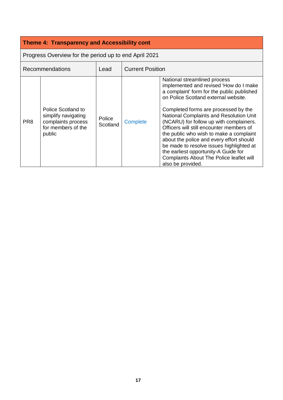# **Theme 4: Transparency and Accessibility cont**

| Progress Overview for the period up to end April 2021 |                                                                                                 |                           |                         |                                                                                                                                                                                                                                                                                                                                                                                                                                                                                                                                                                                    |
|-------------------------------------------------------|-------------------------------------------------------------------------------------------------|---------------------------|-------------------------|------------------------------------------------------------------------------------------------------------------------------------------------------------------------------------------------------------------------------------------------------------------------------------------------------------------------------------------------------------------------------------------------------------------------------------------------------------------------------------------------------------------------------------------------------------------------------------|
|                                                       | <b>Recommendations</b>                                                                          | Lead                      | <b>Current Position</b> |                                                                                                                                                                                                                                                                                                                                                                                                                                                                                                                                                                                    |
| PR <sub>8</sub>                                       | Police Scotland to<br>simplify navigating<br>complaints process<br>for members of the<br>public | <b>Police</b><br>Scotland | <b>Complete</b>         | National streamlined process<br>implemented and revised 'How do I make<br>a complaint' form for the public published<br>on Police Scotland external website.<br>Completed forms are processed by the<br>National Complaints and Resolution Unit<br>(NCARU) for follow up with complainers.<br>Officers will still encounter members of<br>the public who wish to make a complaint<br>about the police and every effort should<br>be made to resolve issues highlighted at<br>the earliest opportunity-A Guide for<br>Complaints About The Police leaflet will<br>also be provided. |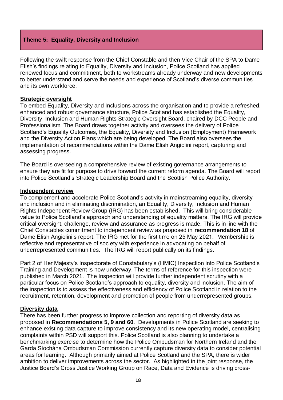### **Theme 5: Equality, Diversity and Inclusion**

Following the swift response from the Chief Constable and then Vice Chair of the SPA to Dame Elish's findings relating to Equality, Diversity and Inclusion, Police Scotland has applied renewed focus and commitment, both to workstreams already underway and new developments to better understand and serve the needs and experience of Scotland's diverse communities and its own workforce.

### **Strategic oversight**

To embed Equality, Diversity and Inclusions across the organisation and to provide a refreshed, enhanced and robust governance structure, Police Scotland has established the Equality, Diversity, Inclusion and Human Rights Strategic Oversight Board, chaired by DCC People and Professionalism. The Board draws together activity and oversees the delivery of Police Scotland's Equality Outcomes, the Equality, Diversity and Inclusion (Employment) Framework and the Diversity Action Plans which are being developed. The Board also oversees the implementation of recommendations within the Dame Elish Angiolini report, capturing and assessing progress.

The Board is overseeing a comprehensive review of existing governance arrangements to ensure they are fit for purpose to drive forward the current reform agenda. The Board will report into Police Scotland's Strategic Leadership Board and the Scottish Police Authority.

### **Independent review**

To complement and accelerate Police Scotland's activity in mainstreaming equality, diversity and inclusion and in eliminating discrimination, an Equality, Diversity, Inclusion and Human Rights Independent Review Group (IRG) has been established. This will bring considerable value to Police Scotland's approach and understanding of equality matters. The IRG will provide critical oversight, challenge, review and assurance as progress is made. This is in line with the Chief Constables commitment to independent review as proposed in **recommendation 18** of Dame Elish Angiolini's report. The IRG met for the first time on 25 May 2021. Membership is reflective and representative of society with experience in advocating on behalf of underrepresented communities. The IRG will report publically on its findings.

Part 2 of Her Majesty's Inspectorate of Constabulary's (HMIC) Inspection into Police Scotland's Training and Development is now underway. The terms of reference for this inspection were published in March 2021. The Inspection will provide further independent scrutiny with a particular focus on Police Scotland's approach to equality, diversity and inclusion. The aim of the inspection is to assess the effectiveness and efficiency of Police Scotland in relation to the recruitment, retention, development and promotion of people from underrepresented groups.

### **Diversity data**

There has been further progress to improve collection and reporting of diversity data as proposed in **Recommendations 5, 9 and 60**. Developments in Police Scotland are seeking to enhance existing data capture to improve consistency and its new operating model, centralising complaints within PSD will support this. Police Scotland is also planning to undertake a benchmarking exercise to determine how the Police Ombudsman for Northern Ireland and the Garda Síochána Ombudsman Commission currently capture diversity data to consider potential areas for learning. Although primarily aimed at Police Scotland and the SPA, there is wider ambition to deliver improvements across the sector. As highlighted in the joint response, the Justice Board's Cross Justice Working Group on Race, Data and Evidence is driving cross-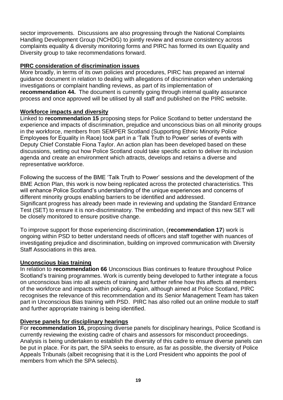sector improvements. Discussions are also progressing through the National Complaints Handling Development Group (NCHDG) to jointly review and ensure consistency across complaints equality & diversity monitoring forms and PIRC has formed its own Equality and Diversity group to take recommendations forward.

### **PIRC consideration of discrimination issues**

More broadly, in terms of its own policies and procedures, PIRC has prepared an internal guidance document in relation to dealing with allegations of discrimination when undertaking investigations or complaint handling reviews, as part of its implementation of **recommendation 44.** The document is currently going through internal quality assurance process and once approved will be utilised by all staff and published on the PIRC website.

### **Workforce impacts and diversity**

Linked to **recommendation 15** proposing steps for Police Scotland to better understand the experience and impacts of discrimination, prejudice and unconscious bias on all minority groups in the workforce, members from SEMPER Scotland (Supporting Ethnic Minority Police Employees for Equality in Race) took part in a 'Talk Truth to Power' series of events with Deputy Chief Constable Fiona Taylor. An action plan has been developed based on these discussions, setting out how Police Scotland could take specific action to deliver its inclusion agenda and create an environment which attracts, develops and retains a diverse and representative workforce.

Following the success of the BME 'Talk Truth to Power' sessions and the development of the BME Action Plan, this work is now being replicated across the protected characteristics. This will enhance Police Scotland's understanding of the unique experiences and concerns of different minority groups enabling barriers to be identified and addressed.

Significant progress has already been made in reviewing and updating the Standard Entrance Test (SET) to ensure it is non-discriminatory. The embedding and impact of this new SET will be closely monitored to ensure positive change.

To improve support for those experiencing discrimination, (**recommendation 17**) work is ongoing within PSD to better understand needs of officers and staff together with nuances of investigating prejudice and discrimination, building on improved communication with Diversity Staff Associations in this area.

### **Unconscious bias training**

In relation to **recommendation 66** Unconscious Bias continues to feature throughout Police Scotland's training programmes. Work is currently being developed to further integrate a focus on unconscious bias into all aspects of training and further refine how this affects all members of the workforce and impacts within policing. Again, although aimed at Police Scotland, PIRC recognises the relevance of this recommendation and its Senior Management Team has taken part in Unconscious Bias training with PSD. PIRC has also rolled out an online module to staff and further appropriate training is being identified.

### **Diverse panels for disciplinary hearings**

For **recommendation 16,** proposing diverse panels for disciplinary hearings, Police Scotland is currently reviewing the existing cadre of chairs and assessors for misconduct proceedings. Analysis is being undertaken to establish the diversity of this cadre to ensure diverse panels can be put in place. For its part, the SPA seeks to ensure, as far as possible, the diversity of Police Appeals Tribunals (albeit recognising that it is the Lord President who appoints the pool of members from which the SPA selects).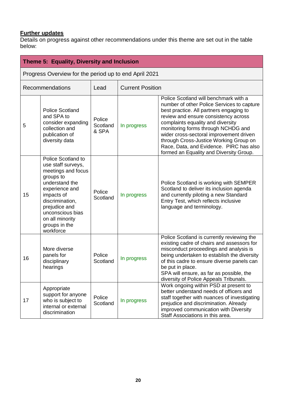### **Further updates**

|    | Theme 5: Equality, Diversity and Inclusion                                                                                                                                                                                             |                             |                         |                                                                                                                                                                                                                                                                                                                                                                                                                              |
|----|----------------------------------------------------------------------------------------------------------------------------------------------------------------------------------------------------------------------------------------|-----------------------------|-------------------------|------------------------------------------------------------------------------------------------------------------------------------------------------------------------------------------------------------------------------------------------------------------------------------------------------------------------------------------------------------------------------------------------------------------------------|
|    | Progress Overview for the period up to end April 2021                                                                                                                                                                                  |                             |                         |                                                                                                                                                                                                                                                                                                                                                                                                                              |
|    | Recommendations                                                                                                                                                                                                                        | Lead                        | <b>Current Position</b> |                                                                                                                                                                                                                                                                                                                                                                                                                              |
| 5  | <b>Police Scotland</b><br>and SPA to<br>consider expanding<br>collection and<br>publication of<br>diversity data                                                                                                                       | Police<br>Scotland<br>& SPA | In progress             | Police Scotland will benchmark with a<br>number of other Police Services to capture<br>best practice. All partners engaging to<br>review and ensure consistency across<br>complaints equality and diversity<br>monitoring forms through NCHDG and<br>wider cross-sectoral improvement driven<br>through Cross-Justice Working Group on<br>Race, Data, and Evidence. PIRC has also<br>formed an Equality and Diversity Group. |
| 15 | Police Scotland to<br>use staff surveys,<br>meetings and focus<br>groups to<br>understand the<br>experience and<br>impacts of<br>discrimination,<br>prejudice and<br>unconscious bias<br>on all minority<br>groups in the<br>workforce | Police<br>Scotland          | In progress             | Police Scotland is working with SEMPER<br>Scotland to deliver its inclusion agenda<br>and currently piloting a new Standard<br>Entry Test, which reflects inclusive<br>language and terminology.                                                                                                                                                                                                                             |
| 16 | More diverse<br>panels for<br>disciplinary<br>hearings                                                                                                                                                                                 | Police<br>Scotland          | In progress             | Police Scotland is currently reviewing the<br>existing cadre of chairs and assessors for<br>misconduct proceedings and analysis is<br>being undertaken to establish the diversity<br>of this cadre to ensure diverse panels can<br>be put in place.<br>SPA will ensure, as far as possible, the<br>diversity of Police Appeals Tribunals.                                                                                    |
| 17 | Appropriate<br>support for anyone<br>who is subject to<br>internal or external<br>discrimination                                                                                                                                       | Police<br>Scotland          | In progress             | Work ongoing within PSD at present to<br>better understand needs of officers and<br>staff together with nuances of investigating<br>prejudice and discrimination. Already<br>improved communication with Diversity<br>Staff Associations in this area.                                                                                                                                                                       |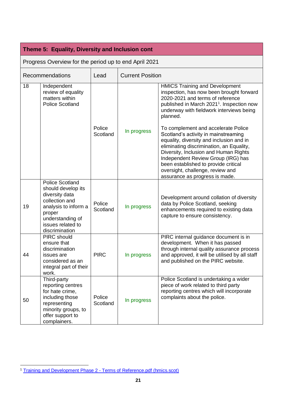### **Theme 5: Equality, Diversity and Inclusion cont**

Progress Overview for the period up to end April 2021

|    | Recommendations                                                                                                                                                               | Lead               | <b>Current Position</b> |                                                                                                                                                                                                                                                                                                                                                                                                                                                                                                                                                                                                            |  |
|----|-------------------------------------------------------------------------------------------------------------------------------------------------------------------------------|--------------------|-------------------------|------------------------------------------------------------------------------------------------------------------------------------------------------------------------------------------------------------------------------------------------------------------------------------------------------------------------------------------------------------------------------------------------------------------------------------------------------------------------------------------------------------------------------------------------------------------------------------------------------------|--|
| 18 | Independent<br>review of equality<br>matters within<br><b>Police Scotland</b>                                                                                                 | Police<br>Scotland | In progress             | <b>HMICS Training and Development</b><br>inspection, has now been brought forward<br>2020-2021 and terms of reference<br>published in March 2021 <sup>1</sup> . Inspection now<br>underway with fieldwork interviews being<br>planned.<br>To complement and accelerate Police<br>Scotland's activity in mainstreaming<br>equality, diversity and inclusion and in<br>eliminating discrimination, an Equality,<br>Diversity, Inclusion and Human Rights<br>Independent Review Group (IRG) has<br>been established to provide critical<br>oversight, challenge, review and<br>assurance as progress is made. |  |
| 19 | <b>Police Scotland</b><br>should develop its<br>diversity data<br>collection and<br>analysis to inform a<br>proper<br>understanding of<br>issues related to<br>discrimination | Police<br>Scotland | In progress             | Development around collation of diversity<br>data by Police Scotland, seeking<br>enhancements required to existing data<br>capture to ensure consistency.                                                                                                                                                                                                                                                                                                                                                                                                                                                  |  |
| 44 | <b>PIRC</b> should<br>ensure that<br>discrimination<br>issues are<br>considered as an<br>integral part of their<br>work.                                                      | <b>PIRC</b>        | In progress             | PIRC internal guidance document is in<br>development. When it has passed<br>through internal quality assurance process<br>and approved, it will be utilised by all staff<br>and published on the PIRC website.                                                                                                                                                                                                                                                                                                                                                                                             |  |
| 50 | Third-party<br>reporting centres<br>for hate crime,<br>including those<br>representing<br>minority groups, to<br>offer support to<br>complainers.                             | Police<br>Scotland | In progress             | Police Scotland is undertaking a wider<br>piece of work related to third party<br>reporting centres which will incorporate<br>complaints about the police.                                                                                                                                                                                                                                                                                                                                                                                                                                                 |  |

l

<sup>&</sup>lt;sup>1</sup> [Training and Development Phase 2 -](https://www.hmics.scot/sites/default/files/publications/Training%20and%20Development%20Phase%202%20-%20Terms%20of%20Reference.pdf) Terms of Reference.pdf (hmics.scot)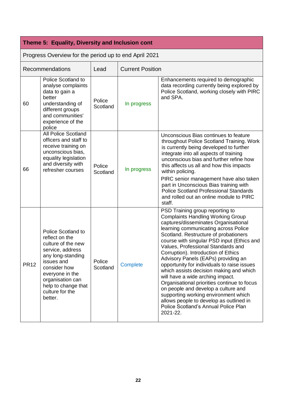# **Theme 5: Equality, Diversity and Inclusion cont**

| Progress Overview for the period up to end April 2021 |                                                                                                                                                                                                                                      |                    |                 |                                                                                                                                                                                                                                                                                                                                                                                                                                                                                                                                                                                                                                                                                                                                   |  |
|-------------------------------------------------------|--------------------------------------------------------------------------------------------------------------------------------------------------------------------------------------------------------------------------------------|--------------------|-----------------|-----------------------------------------------------------------------------------------------------------------------------------------------------------------------------------------------------------------------------------------------------------------------------------------------------------------------------------------------------------------------------------------------------------------------------------------------------------------------------------------------------------------------------------------------------------------------------------------------------------------------------------------------------------------------------------------------------------------------------------|--|
|                                                       | Recommendations                                                                                                                                                                                                                      | Lead               |                 | <b>Current Position</b>                                                                                                                                                                                                                                                                                                                                                                                                                                                                                                                                                                                                                                                                                                           |  |
| 60                                                    | Police Scotland to<br>analyse complaints<br>data to gain a<br>better<br>understanding of<br>different groups<br>and communities'<br>experience of the<br>police                                                                      | Police<br>Scotland | In progress     | Enhancements required to demographic<br>data recording currently being explored by<br>Police Scotland, working closely with PIRC<br>and SPA.                                                                                                                                                                                                                                                                                                                                                                                                                                                                                                                                                                                      |  |
| 66                                                    | <b>All Police Scotland</b><br>officers and staff to<br>receive training on<br>unconscious bias,<br>equality legislation<br>and diversity with<br>refresher courses                                                                   | Police<br>Scotland | In progress     | Unconscious Bias continues to feature<br>throughout Police Scotland Training. Work<br>is currently being developed to further<br>integrate into all aspects of training<br>unconscious bias and further refine how<br>this affects us all and how this impacts<br>within policing.<br>PIRC senior management have also taken<br>part in Unconscious Bias training with<br><b>Police Scotland Professional Standards</b><br>and rolled out an online module to PIRC<br>staff.                                                                                                                                                                                                                                                      |  |
| <b>PR12</b>                                           | <b>Police Scotland to</b><br>reflect on the<br>culture of the new<br>service, address<br>any long-standing<br>issues and<br>consider how<br>everyone in the<br>organisation can<br>help to change that<br>culture for the<br>better. | Police<br>Scotland | <b>Complete</b> | PSD Training group reporting to<br><b>Complaints Handling Working Group</b><br>captures/disseminates Organisational<br>learning communicating across Police<br>Scotland. Restructure of probationers<br>course with singular PSD input (Ethics and<br>Values, Professional Standards and<br>Corruption). Introduction of Ethics<br>Advisory Panels (EAPs) providing an<br>opportunity for individuals to raise issues<br>which assists decision making and which<br>will have a wide arching impact.<br>Organisational priorities continue to focus<br>on people and develop a culture and<br>supporting working environment which<br>allows people to develop as outlined in<br>Police Scotland's Annual Police Plan<br>2021-22. |  |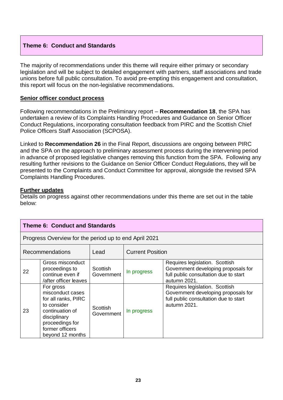### **Theme 6: Conduct and Standards**

The majority of recommendations under this theme will require either primary or secondary legislation and will be subject to detailed engagement with partners, staff associations and trade unions before full public consultation. To avoid pre-empting this engagement and consultation, this report will focus on the non-legislative recommendations.

### **Senior officer conduct process**

Following recommendations in the Preliminary report – **Recommendation 18**, the SPA has undertaken a review of its Complaints Handling Procedures and Guidance on Senior Officer Conduct Regulations, incorporating consultation feedback from PIRC and the Scottish Chief Police Officers Staff Association (SCPOSA).

Linked to **Recommendation 26** in the Final Report, discussions are ongoing between PIRC and the SPA on the approach to preliminary assessment process during the intervening period in advance of proposed legislative changes removing this function from the SPA. Following any resulting further revisions to the Guidance on Senior Officer Conduct Regulations, they will be presented to the Complaints and Conduct Committee for approval, alongside the revised SPA Complaints Handling Procedures.

### **Further updates**

| <b>Theme 6: Conduct and Standards</b> |                                                                                                                                                                  |                        |                         |                                                                                                                                |  |
|---------------------------------------|------------------------------------------------------------------------------------------------------------------------------------------------------------------|------------------------|-------------------------|--------------------------------------------------------------------------------------------------------------------------------|--|
|                                       | Progress Overview for the period up to end April 2021                                                                                                            |                        |                         |                                                                                                                                |  |
| <b>Recommendations</b><br>Lead        |                                                                                                                                                                  |                        | <b>Current Position</b> |                                                                                                                                |  |
| 22                                    | Gross misconduct<br>proceedings to<br>continue even if<br>/after officer leaves                                                                                  | Scottish<br>Government | In progress             | Requires legislation. Scottish<br>Government developing proposals for<br>full public consultation due to start<br>autumn 2021. |  |
| 23                                    | For gross<br>misconduct cases<br>for all ranks, PIRC<br>to consider<br>continuation of<br>disciplinary<br>proceedings for<br>former officers<br>beyond 12 months | Scottish<br>Government | In progress             | Requires legislation. Scottish<br>Government developing proposals for<br>full public consultation due to start<br>autumn 2021. |  |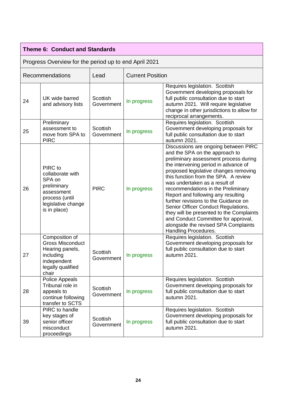|    | <b>Theme 6: Conduct and Standards</b>                                                                                      |                               |                         |                                                                                                                                                                                                                                                                                                                                                                                                                                                                                                                                                                                         |  |
|----|----------------------------------------------------------------------------------------------------------------------------|-------------------------------|-------------------------|-----------------------------------------------------------------------------------------------------------------------------------------------------------------------------------------------------------------------------------------------------------------------------------------------------------------------------------------------------------------------------------------------------------------------------------------------------------------------------------------------------------------------------------------------------------------------------------------|--|
|    | Progress Overview for the period up to end April 2021                                                                      |                               |                         |                                                                                                                                                                                                                                                                                                                                                                                                                                                                                                                                                                                         |  |
|    | Recommendations                                                                                                            | Lead                          | <b>Current Position</b> |                                                                                                                                                                                                                                                                                                                                                                                                                                                                                                                                                                                         |  |
| 24 | UK wide barred<br>and advisory lists                                                                                       | Scottish<br>Government        | In progress             | Requires legislation. Scottish<br>Government developing proposals for<br>full public consultation due to start<br>autumn 2021. Will require legislative<br>change in other jurisdictions to allow for<br>reciprocal arrangements.                                                                                                                                                                                                                                                                                                                                                       |  |
| 25 | Preliminary<br>assessment to<br>move from SPA to<br><b>PIRC</b>                                                            | <b>Scottish</b><br>Government | In progress             | Requires legislation. Scottish<br>Government developing proposals for<br>full public consultation due to start<br>autumn 2021.                                                                                                                                                                                                                                                                                                                                                                                                                                                          |  |
| 26 | PIRC to<br>collaborate with<br>SPA on<br>preliminary<br>assessment<br>process (until<br>legislative change<br>is in place) | <b>PIRC</b>                   | In progress             | Discussions are ongoing between PIRC<br>and the SPA on the approach to<br>preliminary assessment process during<br>the intervening period in advance of<br>proposed legislative changes removing<br>this function from the SPA. A review<br>was undertaken as a result of<br>recommendations in the Preliminary<br>Report and following any resulting<br>further revisions to the Guidance on<br>Senior Officer Conduct Regulations,<br>they will be presented to the Complaints<br>and Conduct Committee for approval,<br>alongside the revised SPA Complaints<br>Handling Procedures. |  |
| 27 | Composition of<br><b>Gross Misconduct</b><br>Hearing panels,<br>including<br>independent<br>legally qualified<br>chair     | Scottish<br>Government        | In progress             | Requires legislation. Scottish<br>Government developing proposals for<br>full public consultation due to start<br>autumn 2021.                                                                                                                                                                                                                                                                                                                                                                                                                                                          |  |
| 28 | Police Appeals<br>Tribunal role in<br>appeals to<br>continue following<br>transfer to SCTS                                 | Scottish<br>Government        | In progress             | Requires legislation. Scottish<br>Government developing proposals for<br>full public consultation due to start<br>autumn 2021.                                                                                                                                                                                                                                                                                                                                                                                                                                                          |  |
| 39 | PIRC to handle<br>key stages of<br>senior officer<br>misconduct<br>proceedings                                             | Scottish<br>Government        | In progress             | Requires legislation. Scottish<br>Government developing proposals for<br>full public consultation due to start<br>autumn 2021.                                                                                                                                                                                                                                                                                                                                                                                                                                                          |  |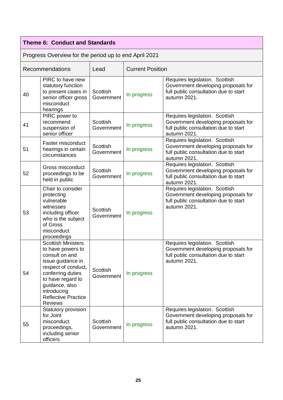## **Theme 6: Conduct and Standards**

| Recommendations |                                                                                                                                                                                                                                         | Lead                          | <b>Current Position</b> |                                                                                                                                |
|-----------------|-----------------------------------------------------------------------------------------------------------------------------------------------------------------------------------------------------------------------------------------|-------------------------------|-------------------------|--------------------------------------------------------------------------------------------------------------------------------|
| 40              | PIRC to have new<br>statutory function<br>to present cases in<br>senior officer gross<br>misconduct<br>hearings                                                                                                                         | Scottish<br>Government        | In progress             | Requires legislation. Scottish<br>Government developing proposals for<br>full public consultation due to start<br>autumn 2021. |
| 41              | PIRC power to<br>recommend<br>suspension of<br>senior officer                                                                                                                                                                           | Scottish<br>Government        | In progress             | Requires legislation. Scottish<br>Government developing proposals for<br>full public consultation due to start<br>autumn 2021. |
| 51              | Faster misconduct<br>hearings in certain<br>circumstances                                                                                                                                                                               | Scottish<br>Government        | In progress             | Requires legislation. Scottish<br>Government developing proposals for<br>full public consultation due to start<br>autumn 2021. |
| 52              | Gross misconduct<br>proceedings to be<br>held in public                                                                                                                                                                                 | Scottish<br>Government        | In progress             | Requires legislation. Scottish<br>Government developing proposals for<br>full public consultation due to start<br>autumn 2021. |
| 53              | Chair to consider<br>protecting<br>vulnerable<br>witnesses<br>including officer<br>who is the subject<br>of Gross<br>misconduct<br>proceedings                                                                                          | Scottish<br>Government        | In progress             | Requires legislation. Scottish<br>Government developing proposals for<br>full public consultation due to start<br>autumn 2021. |
| 54              | <b>Scottish Ministers</b><br>to have powers to<br>consult on and<br>issue guidance in<br>respect of conduct,<br>conferring duties<br>to have regard to<br>guidance, also<br>introducing<br><b>Reflective Practice</b><br><b>Reviews</b> | Scottish<br>Government        | In progress             | Requires legislation. Scottish<br>Government developing proposals for<br>full public consultation due to start<br>autumn 2021. |
| 55              | Statutory provision<br>for Joint<br>misconduct<br>proceedings,<br>including senior<br>officers                                                                                                                                          | <b>Scottish</b><br>Government | In progress             | Requires legislation. Scottish<br>Government developing proposals for<br>full public consultation due to start<br>autumn 2021. |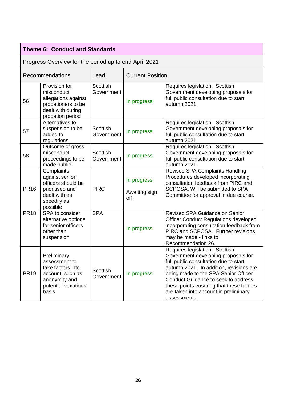|             | <b>Theme 6: Conduct and Standards</b>                                                                                  |                               |                                      |                                                                                                                                                                                                                                                                                                                                               |
|-------------|------------------------------------------------------------------------------------------------------------------------|-------------------------------|--------------------------------------|-----------------------------------------------------------------------------------------------------------------------------------------------------------------------------------------------------------------------------------------------------------------------------------------------------------------------------------------------|
|             | Progress Overview for the period up to end April 2021                                                                  |                               |                                      |                                                                                                                                                                                                                                                                                                                                               |
|             | Recommendations                                                                                                        | Lead                          | <b>Current Position</b>              |                                                                                                                                                                                                                                                                                                                                               |
| 56          | Provision for<br>misconduct<br>allegations against<br>probationers to be<br>dealt with during<br>probation period      | Scottish<br>Government        | In progress                          | Requires legislation. Scottish<br>Government developing proposals for<br>full public consultation due to start<br>autumn 2021.                                                                                                                                                                                                                |
| 57          | Alternatives to<br>suspension to be<br>added to<br>regulations                                                         | <b>Scottish</b><br>Government | In progress                          | Requires legislation. Scottish<br>Government developing proposals for<br>full public consultation due to start<br>autumn 2021.                                                                                                                                                                                                                |
| 58          | Outcome of gross<br>misconduct<br>proceedings to be<br>made public                                                     | Scottish<br>Government        | In progress                          | Requires legislation. Scottish<br>Government developing proposals for<br>full public consultation due to start<br>autumn 2021.                                                                                                                                                                                                                |
| <b>PR16</b> | Complaints<br>against senior<br>officers should be<br>prioritised and<br>dealt with as<br>speedily as<br>possible      | <b>PIRC</b>                   | In progress<br>Awaiting sign<br>off. | <b>Revised SPA Complaints Handling</b><br>Procedures developed incorporating<br>consultation feedback from PIRC and<br>SCPOSA. Will be submitted to SPA<br>Committee for approval in due course.                                                                                                                                              |
| <b>PR18</b> | SPA to consider<br>alternative options<br>for senior officers<br>other than<br>suspension                              | <b>SPA</b>                    | In progress                          | Revised SPA Guidance on Senior<br><b>Officer Conduct Regulations developed</b><br>incorporating consultation feedback from<br>PIRC and SCPOSA. Further revisions<br>may be made - links to<br>Recommendation 26.                                                                                                                              |
| <b>PR19</b> | Preliminary<br>assessment to<br>take factors into<br>account, such as<br>anonymity and<br>potential vexatious<br>basis | <b>Scottish</b><br>Government | In progress                          | Requires legislation. Scottish<br>Government developing proposals for<br>full public consultation due to start<br>autumn 2021. In addition, revisions are<br>being made to the SPA Senior Officer<br>Conduct Guidance to seek to address<br>these points ensuring that these factors<br>are taken into account in preliminary<br>assessments. |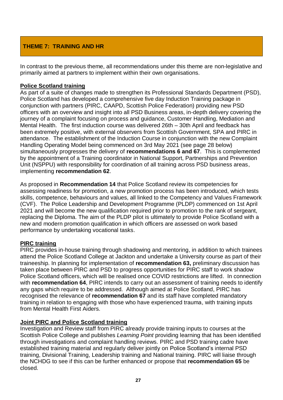### **THEME 7: TRAINING AND HR**

In contrast to the previous theme, all recommendations under this theme are non-legislative and primarily aimed at partners to implement within their own organisations.

### **Police Scotland training**

As part of a suite of changes made to strengthen its Professional Standards Department (PSD), Police Scotland has developed a comprehensive five day Induction Training package in conjunction with partners (PIRC, CAAPD, Scottish Police Federation) providing new PSD officers with an overview and insight into all PSD Business areas, in-depth delivery covering the journey of a complaint focusing on process and guidance, Customer Handling, Mediation and Mental Health. The first induction course was delivered 26th – 30th April and feedback has been extremely positive, with external observers from Scottish Government, SPA and PIRC in attendance. The establishment of the Induction Course in conjunction with the new Complaint Handling Operating Model being commenced on 3rd May 2021 (see page 28 below) simultaneously progresses the delivery of **recommendations 6 and 67**. This is complemented by the appointment of a Training coordinator in National Support, Partnerships and Prevention Unit (NSPPU) with responsibility for coordination of all training across PSD business areas, implementing **recommendation 62**.

As proposed in **Recommendation 14** that Police Scotland review its competencies for assessing readiness for promotion, a new promotion process has been introduced, which tests skills, competence, behaviours and values, all linked to the Competency and Values Framework (CVF). The Police Leadership and Development Programme (PLDP) commenced on 1st April 2021 and will become the new qualification required prior to promotion to the rank of sergeant, replacing the Diploma. The aim of the PLDP pilot is ultimately to provide Police Scotland with a new and modern promotion qualification in which officers are assessed on work based performance by undertaking vocational tasks.

### **PIRC training**

PIRC provides in-house training through shadowing and mentoring, in addition to which trainees attend the Police Scotland College at Jackton and undertake a University course as part of their traineeship. In planning for implementation of **recommendation 63,** preliminary discussion has taken place between PIRC and PSD to progress opportunities for PIRC staff to work shadow Police Scotland officers, which will be realised once COVID restrictions are lifted. In connection with **recommendation 64**, PIRC intends to carry out an assessment of training needs to identify any gaps which require to be addressed. Although aimed at Police Scotland, PIRC has recognised the relevance of **recommendation 67** and its staff have completed mandatory training in relation to engaging with those who have experienced trauma, with training inputs from Mental Health First Aiders.

### **Joint PIRC and Police Scotland training**

Investigation and Review staff from PIRC already provide training inputs to courses at the Scottish Police College and publishes *Learning Point* providing learning that has been identified through investigations and complaint handling reviews. PIRC and PSD training cadre have established training material and regularly deliver jointly on Police Scotland's internal PSD training, Divisional Training, Leadership training and National training. PIRC will liaise through the NCHDG to see if this can be further enhanced or propose that **recommendation 65** be closed.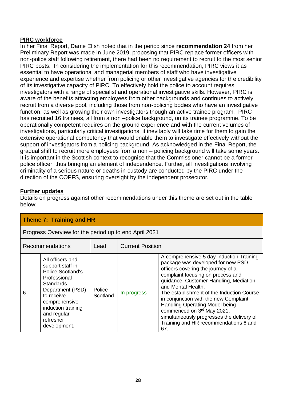### **PIRC workforce**

In her Final Report, Dame Elish noted that in the period since **recommendation 24** from her Preliminary Report was made in June 2019, proposing that PIRC replace former officers with non-police staff following retirement, there had been no requirement to recruit to the most senior PIRC posts. In considering the implementation for this recommendation, PIRC views it as essential to have operational and managerial members of staff who have investigative experience and expertise whether from policing or other investigative agencies for the credibility of its investigative capacity of PIRC. To effectively hold the police to account requires investigators with a range of specialist and operational investigative skills. However, PIRC is aware of the benefits attracting employees from other backgrounds and continues to actively recruit from a diverse pool, including those from non-policing bodies who have an investigative function, as well as growing their own investigators though an active trainee program. PIRC has recruited 16 trainees, all from a non –police background, on its trainee programme. To be operationally competent requires on the ground experience and with the current volumes of investigations, particularly critical investigations, it inevitably will take time for them to gain the extensive operational competency that would enable them to investigate effectively without the support of investigators from a policing background. As acknowledged in the Final Report, the gradual shift to recruit more employees from a non – policing background will take some years. It is important in the Scottish context to recognise that the Commissioner cannot be a former police officer, thus bringing an element of independence. Further, all investigations involving criminality of a serious nature or deaths in custody are conducted by the PIRC under the direction of the COPFS, ensuring oversight by the independent prosecutor.

### **Further updates**

| Theme 7: Training and HR       |                                                                                                                                                                                                                    |                    |                         |                                                                                                                                                                                                                                                                                                                                                                                                                                                                             |
|--------------------------------|--------------------------------------------------------------------------------------------------------------------------------------------------------------------------------------------------------------------|--------------------|-------------------------|-----------------------------------------------------------------------------------------------------------------------------------------------------------------------------------------------------------------------------------------------------------------------------------------------------------------------------------------------------------------------------------------------------------------------------------------------------------------------------|
|                                | Progress Overview for the period up to end April 2021                                                                                                                                                              |                    |                         |                                                                                                                                                                                                                                                                                                                                                                                                                                                                             |
| <b>Recommendations</b><br>Lead |                                                                                                                                                                                                                    |                    | <b>Current Position</b> |                                                                                                                                                                                                                                                                                                                                                                                                                                                                             |
| 6                              | All officers and<br>support staff in<br><b>Police Scotland's</b><br>Professional<br>Standards<br>Department (PSD)<br>to receive<br>comprehensive<br>induction training<br>and regular<br>refresher<br>development. | Police<br>Scotland | In progress             | A comprehensive 5 day Induction Training<br>package was developed for new PSD<br>officers covering the journey of a<br>complaint focusing on process and<br>guidance, Customer Handling, Mediation<br>and Mental Health.<br>The establishment of the Induction Course<br>in conjunction with the new Complaint<br>Handling Operating Model being<br>commenced on 3rd May 2021,<br>simultaneously progresses the delivery of<br>Training and HR recommendations 6 and<br>67. |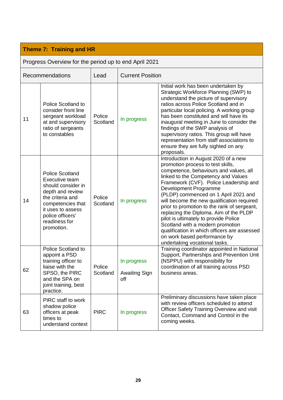| Recommendations |                                                                                                                                                                                                     | Lead               |                                            | <b>Current Position</b>                                                                                                                                                                                                                                                                                                                                                                                                                                                                                                                                                                                    |  |
|-----------------|-----------------------------------------------------------------------------------------------------------------------------------------------------------------------------------------------------|--------------------|--------------------------------------------|------------------------------------------------------------------------------------------------------------------------------------------------------------------------------------------------------------------------------------------------------------------------------------------------------------------------------------------------------------------------------------------------------------------------------------------------------------------------------------------------------------------------------------------------------------------------------------------------------------|--|
| 11              | <b>Police Scotland to</b><br>consider front line<br>sergeant workload<br>at and supervisory<br>ratio of sergeants<br>to constables                                                                  | Police<br>Scotland | In progress                                | Initial work has been undertaken by<br>Strategic Workforce Planning (SWP) to<br>understand the picture of supervisory<br>ratios across Police Scotland and in<br>particular local policing. A working group<br>has been constituted and will have its<br>inaugural meeting in June to consider the<br>findings of the SWP analysis of<br>supervisory ratios. This group will have<br>representation from staff associations to<br>ensure they are fully sighted on any<br>proposals.                                                                                                                       |  |
| 14              | <b>Police Scotland</b><br>Executive team<br>should consider in<br>depth and review<br>the criteria and<br>competencies that<br>it uses to assess<br>police officers'<br>readiness for<br>promotion. | Police<br>Scotland | In progress                                | Introduction in August 2020 of a new<br>promotion process to test skills,<br>competence, behaviours and values, all<br>linked to the Competency and Values<br>Framework (CVF). Police Leadership and<br>Development Programme<br>(PLDP) commenced on 1 April 2021 and<br>will become the new qualification required<br>prior to promotion to the rank of sergeant,<br>replacing the Diploma. Aim of the PLDP<br>pilot is ultimately to provide Police<br>Scotland with a modern promotion<br>qualification in which officers are assessed<br>on work based performance by<br>undertaking vocational tasks. |  |
| 62              | Police Scotland to<br>appoint a PSD<br>training officer to<br>liaise with the<br>SPSO, the PIRC<br>and the SPA on<br>joint training, best<br>practice.                                              | Police<br>Scotland | In progress<br><b>Awaiting Sign</b><br>off | Training coordinator appointed in National<br>Support, Partnerships and Prevention Unit<br>(NSPPU) with responsibility for<br>coordination of all training across PSD<br>business areas.                                                                                                                                                                                                                                                                                                                                                                                                                   |  |
| 63              | PIRC staff to work<br>shadow police<br>officers at peak<br>times to<br>understand context                                                                                                           | <b>PIRC</b>        | In progress                                | Preliminary discussions have taken place<br>with review officers scheduled to attend<br><b>Officer Safety Training Overview and visit</b><br>Contact, Command and Control in the<br>coming weeks.                                                                                                                                                                                                                                                                                                                                                                                                          |  |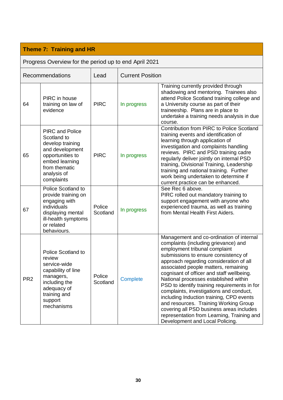|                 | Recommendations                                                                                                                                                  | Lead               |             | <b>Current Position</b>                                                                                                                                                                                                                                                                                                                                                                                                                                                                                                                                                                                                                         |  |
|-----------------|------------------------------------------------------------------------------------------------------------------------------------------------------------------|--------------------|-------------|-------------------------------------------------------------------------------------------------------------------------------------------------------------------------------------------------------------------------------------------------------------------------------------------------------------------------------------------------------------------------------------------------------------------------------------------------------------------------------------------------------------------------------------------------------------------------------------------------------------------------------------------------|--|
| 64              | PIRC in house<br>training on law of<br>evidence                                                                                                                  | <b>PIRC</b>        | In progress | Training currently provided through<br>shadowing and mentoring. Trainees also<br>attend Police Scotland training college and<br>a University course as part of their<br>traineeship. Plans are in place to<br>undertake a training needs analysis in due<br>course.                                                                                                                                                                                                                                                                                                                                                                             |  |
| 65              | <b>PIRC and Police</b><br>Scotland to<br>develop training<br>and development<br>opportunities to<br>embed learning<br>from thematic<br>analysis of<br>complaints | <b>PIRC</b>        | In progress | <b>Contribution from PIRC to Police Scotland</b><br>training events and identification of<br>learning through application of<br>investigation and complaints handling<br>reviews. PIRC and PSD training cadre<br>regularly deliver jointly on internal PSD<br>training, Divisional Training, Leadership<br>training and national training. Further<br>work being undertaken to determine if<br>current practice can be enhanced.                                                                                                                                                                                                                |  |
| 67              | Police Scotland to<br>provide training on<br>engaging with<br>individuals<br>displaying mental<br>ill-health symptoms<br>or related<br>behaviours.               | Police<br>Scotland | In progress | See Rec 6 above.<br>PIRC rolled out mandatory training to<br>support engagement with anyone who<br>experienced trauma, as well as training<br>from Mental Health First Aiders.                                                                                                                                                                                                                                                                                                                                                                                                                                                                  |  |
| PR <sub>2</sub> | <b>Police Scotland to</b><br>review<br>service-wide<br>capability of line<br>managers,<br>including the<br>adequacy of<br>training and<br>support<br>mechanisms  | Police<br>Scotland | Complete    | Management and co-ordination of internal<br>complaints (including grievance) and<br>employment tribunal complaint<br>submissions to ensure consistency of<br>approach regarding consideration of all<br>associated people matters, remaining<br>cognisant of officer and staff wellbeing.<br>National processes established within<br>PSD to identify training requirements in for<br>complaints, investigations and conduct,<br>including Induction training, CPD events<br>and resources. Training Working Group<br>covering all PSD business areas includes<br>representation from Learning, Training and<br>Development and Local Policing. |  |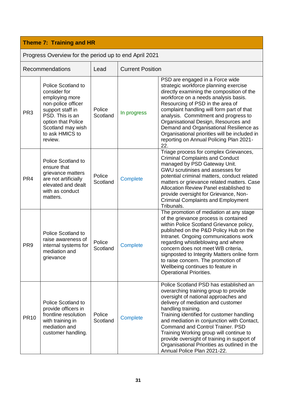|                 | Recommendations                                                                                                                                                                                   | Lead               | <b>Current Position</b> |                                                                                                                                                                                                                                                                                                                                                                                                                                                                                                    |
|-----------------|---------------------------------------------------------------------------------------------------------------------------------------------------------------------------------------------------|--------------------|-------------------------|----------------------------------------------------------------------------------------------------------------------------------------------------------------------------------------------------------------------------------------------------------------------------------------------------------------------------------------------------------------------------------------------------------------------------------------------------------------------------------------------------|
| PR <sub>3</sub> | <b>Police Scotland to</b><br>consider for<br>employing more<br>non-police officer<br>support staff in<br>PSD. This is an<br>option that Police<br>Scotland may wish<br>to ask HMICS to<br>review. | Police<br>Scotland | In progress             | PSD are engaged in a Force wide<br>strategic workforce planning exercise<br>directly examining the composition of the<br>workforce on a needs analysis basis.<br>Resourcing of PSD in the area of<br>complaint handling will form part of that<br>analysis. Commitment and progress to<br>Organisational Design, Resources and<br>Demand and Organisational Resilience as<br>Organisational priorities will be included in<br>reporting on Annual Policing Plan 2021-<br>22.                       |
| PR <sub>4</sub> | <b>Police Scotland to</b><br>ensure that<br>grievance matters<br>are not artificially<br>elevated and dealt<br>with as conduct<br>matters.                                                        | Police<br>Scotland | <b>Complete</b>         | Triage process for complex Grievances,<br><b>Criminal Complaints and Conduct</b><br>managed by PSD Gateway Unit.<br>GWU scrutinises and assesses for<br>potential criminal matters, conduct related<br>matters or grievance related matters. Case<br>Allocation Review Panel established to<br>provide oversight for Grievance, Non-<br><b>Criminal Complaints and Employment</b><br>Tribunals.                                                                                                    |
| PR <sub>9</sub> | <b>Police Scotland to</b><br>raise awareness of<br>internal systems for<br>mediation and<br>grievance                                                                                             | Police<br>Scotland | <b>Complete</b>         | The promotion of mediation at any stage<br>of the grievance process is contained<br>within Police Scotland Grievance policy,<br>published on the P&D Policy Hub on the<br>Intranet. Ongoing communications work<br>regarding whistleblowing and where<br>concern does not meet WB criteria,<br>signposted to Integrity Matters online form<br>to raise concern. The promotion of<br>Wellbeing continues to feature in<br><b>Operational Priorities</b>                                             |
| <b>PR10</b>     | <b>Police Scotland to</b><br>provide officers in<br>frontline resolution<br>with training in<br>mediation and<br>customer handling.                                                               | Police<br>Scotland | <b>Complete</b>         | Police Scotland PSD has established an<br>overarching training group to provide<br>oversight of national approaches and<br>delivery of mediation and customer<br>handling training.<br>Training identified for customer handling<br>and mediation in conjunction with Contact,<br><b>Command and Control Trainer, PSD</b><br>Training Working group will continue to<br>provide oversight of training in support of<br>Organisational Priorities as outlined in the<br>Annual Police Plan 2021-22. |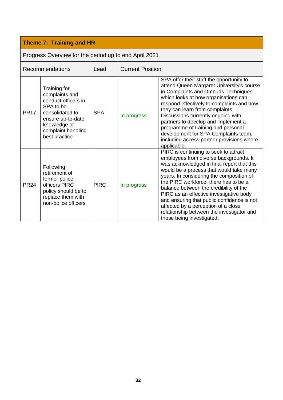| Progress Overview for the period up to end April 2021 |                                                                                                                                                                   |             |                         |                                                                                                                                                                                                                                                                                                                                                                                                                                                                                                                   |
|-------------------------------------------------------|-------------------------------------------------------------------------------------------------------------------------------------------------------------------|-------------|-------------------------|-------------------------------------------------------------------------------------------------------------------------------------------------------------------------------------------------------------------------------------------------------------------------------------------------------------------------------------------------------------------------------------------------------------------------------------------------------------------------------------------------------------------|
|                                                       | <b>Recommendations</b>                                                                                                                                            | Lead        | <b>Current Position</b> |                                                                                                                                                                                                                                                                                                                                                                                                                                                                                                                   |
| <b>PR17</b>                                           | Training for<br>complaints and<br>conduct officers in<br>SPA to be<br>consolidated to<br>ensure up-to-date<br>knowledge of<br>complaint handling<br>best practice | <b>SPA</b>  | In progress             | SPA offer their staff the opportunity to<br>attend Queen Margaret University's course<br>in Complaints and Ombuds Techniques<br>which looks at how organisations can<br>respond effectively to complaints and how<br>they can learn from complaints.<br>Discussions currently ongoing with<br>partners to develop and implement a<br>programme of training and personal<br>development for SPA Complaints team,<br>including access partner provisions where<br>applicable.                                       |
| <b>PR24</b>                                           | Following<br>retirement of<br>former police<br>officers PIRC<br>policy should be to<br>replace them with<br>non-police officers                                   | <b>PIRC</b> | In progress             | PIRC is continuing to seek to attract<br>employees from diverse backgrounds. It<br>was acknowledged in final report that this<br>would be a process that would take many<br>years. In considering the composition of<br>the PIRC workforce, there has to be a<br>balance between the credibility of the<br>PIRC as an effective investigative body<br>and ensuring that public confidence is not<br>affected by a perception of a close<br>relationship between the investigator and<br>those being investigated. |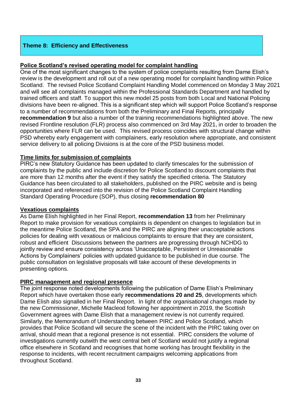### **Theme 8: Efficiency and Effectiveness**

### **Police Scotland's revised operating model for complaint handling**

One of the most significant changes to the system of police complaints resulting from Dame Elish's review is the development and roll out of a new operating model for complaint handling within Police Scotland. The revised Police Scotland Complaint Handling Model commenced on Monday 3 May 2021 and will see all complaints managed within the Professional Standards Department and handled by trained officers and staff. To support this new model 25 posts from both Local and National Policing divisions have been re-aligned. This is a significant step which will support Police Scotland's response to a number of recommendations from both the Preliminary and Final Reports, principally **recommendation 9** but also a number of the training recommendations highlighted above. The new revised Frontline resolution (FLR) process also commenced on 3rd May 2021, in order to broaden the opportunities where FLR can be used. This revised process coincides with structural change within PSD whereby early engagement with complainers, early resolution where appropriate, and consistent service delivery to all policing Divisions is at the core of the PSD business model.

### **Time limits for submission of complaints**

PIRC's new Statutory Guidance has been updated to clarify timescales for the submission of complaints by the public and include discretion for Police Scotland to discount complaints that are more than 12 months after the event if they satisfy the specified criteria. The Statutory Guidance has been circulated to all stakeholders, published on the PIRC website and is being incorporated and referenced into the revision of the Police Scotland Complaint Handling Standard Operating Procedure (SOP), thus closing **recommendation 80** 

### **Vexatious complaints**

As Dame Elish highlighted in her Final Report, **recommendation 13** from her Preliminary Report to make provision for vexatious complaints is dependent on changes to legislation but in the meantime Police Scotland, the SPA and the PIRC are aligning their unacceptable actions policies for dealing with vexatious or malicious complaints to ensure that they are consistent, robust and efficient Discussions between the partners are progressing through NCHDG to jointly review and ensure consistency across 'Unacceptable, Persistent or Unreasonable Actions by Complainers' policies with updated guidance to be published in due course. The public consultation on legislative proposals will take account of these developments in presenting options.

### **PIRC management and regional presence**

The joint response noted developments following the publication of Dame Elish's Preliminary Report which have overtaken those early **recommendations 20 and 25**, developments which Dame Elish also signalled in her Final Report. In light of the organisational changes made by the new Commissioner, Michelle Macleod following her appointment in 2019, the Scottish Government agrees with Dame Elish that a management review is not currently required. Similarly, the Memorandum of Understanding between PIRC and Police Scotland, which provides that Police Scotland will secure the scene of the incident with the PIRC taking over on arrival, should mean that a regional presence is not essential. PIRC considers the volume of investigations currently outwith the west central belt of Scotland would not justify a regional office elsewhere in Scotland and recognises that home working has brought flexibility in the response to incidents, with recent recruitment campaigns welcoming applications from throughout Scotland.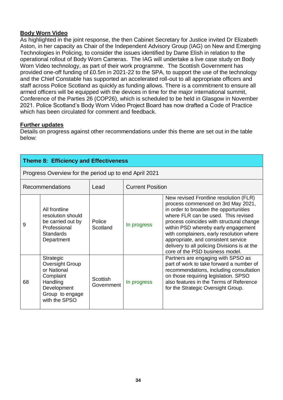### **Body Worn Video**

As highlighted in the joint response, the then Cabinet Secretary for Justice invited Dr Elizabeth Aston, in her capacity as Chair of the Independent Advisory Group (IAG) on New and Emerging Technologies in Policing, to consider the issues identified by Dame Elish in relation to the operational rollout of Body Worn Cameras. The IAG will undertake a live case study on Body Worn Video technology, as part of their work programme. The Scottish Government has provided one-off funding of £0.5m in 2021-22 to the SPA, to support the use of the technology and the Chief Constable has supported an accelerated roll-out to all appropriate officers and staff across Police Scotland as quickly as funding allows. There is a commitment to ensure all armed officers will be equipped with the devices in time for the major international summit, Conference of the Parties 26 (COP26), which is scheduled to be held in Glasgow in November 2021. Police Scotland's Body Worn Video Project Board has now drafted a Code of Practice which has been circulated for comment and feedback.

### **Further updates**

|    | Theme 8: Efficiency and Effectiveness                                                                                          |                               |                         |                                                                                                                                                                                                                                                                                                                                                                                                                       |
|----|--------------------------------------------------------------------------------------------------------------------------------|-------------------------------|-------------------------|-----------------------------------------------------------------------------------------------------------------------------------------------------------------------------------------------------------------------------------------------------------------------------------------------------------------------------------------------------------------------------------------------------------------------|
|    | Progress Overview for the period up to end April 2021                                                                          |                               |                         |                                                                                                                                                                                                                                                                                                                                                                                                                       |
|    | Recommendations                                                                                                                | Lead                          | <b>Current Position</b> |                                                                                                                                                                                                                                                                                                                                                                                                                       |
| 9  | All frontline<br>resolution should<br>be carried out by<br>Professional<br><b>Standards</b><br>Department                      | Police<br>Scotland            | In progress             | New revised Frontline resolution (FLR)<br>process commenced on 3rd May 2021,<br>in order to broaden the opportunities<br>where FLR can be used. This revised<br>process coincides with structural change<br>within PSD whereby early engagement<br>with complainers, early resolution where<br>appropriate, and consistent service<br>delivery to all policing Divisions is at the<br>core of the PSD business model. |
| 68 | Strategic<br><b>Oversight Group</b><br>or National<br>Complaint<br>Handling<br>Development<br>Group to engage<br>with the SPSO | <b>Scottish</b><br>Government | In progress             | Partners are engaging with SPSO as<br>part of work to take forward a number of<br>recommendations, including consultation<br>on those requiring legislation. SPSO<br>also features in the Terms of Reference<br>for the Strategic Oversight Group.                                                                                                                                                                    |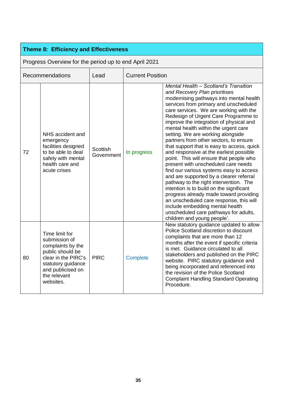| <b>Theme 8: Efficiency and Effectiveness</b>          |                                                                                                                                                                         |                        |                         |                                                                                                                                                                                                                                                                                                                                                                                                                                                                                                                                                                                                                                                                                                                                                                                                                                                                                                                                                                       |  |
|-------------------------------------------------------|-------------------------------------------------------------------------------------------------------------------------------------------------------------------------|------------------------|-------------------------|-----------------------------------------------------------------------------------------------------------------------------------------------------------------------------------------------------------------------------------------------------------------------------------------------------------------------------------------------------------------------------------------------------------------------------------------------------------------------------------------------------------------------------------------------------------------------------------------------------------------------------------------------------------------------------------------------------------------------------------------------------------------------------------------------------------------------------------------------------------------------------------------------------------------------------------------------------------------------|--|
| Progress Overview for the period up to end April 2021 |                                                                                                                                                                         |                        |                         |                                                                                                                                                                                                                                                                                                                                                                                                                                                                                                                                                                                                                                                                                                                                                                                                                                                                                                                                                                       |  |
|                                                       | Recommendations                                                                                                                                                         | Lead                   | <b>Current Position</b> |                                                                                                                                                                                                                                                                                                                                                                                                                                                                                                                                                                                                                                                                                                                                                                                                                                                                                                                                                                       |  |
| 72                                                    | NHS accident and<br>emergency<br>facilities designed<br>to be able to deal<br>safely with mental<br>health care and<br>acute crises                                     | Scottish<br>Government | In progress             | Mental Health - Scotland's Transition<br>and Recovery Plan prioritises<br>modernising pathways into mental health<br>services from primary and unscheduled<br>care services. We are working with the<br>Redesign of Urgent Care Programme to<br>improve the integration of physical and<br>mental health within the urgent care<br>setting. We are working alongside<br>partners from other sectors, to ensure<br>that support that is easy to access, quick<br>and responsive at the earliest possible<br>point. This will ensure that people who<br>present with unscheduled care needs<br>find our various systems easy to access<br>and are supported by a clearer referral<br>pathway to the right intervention. The<br>intention is to build on the significant<br>progress already made toward providing<br>an unscheduled care response, this will<br>include embedding mental health<br>unscheduled care pathways for adults,<br>children and young people'. |  |
| 80                                                    | Time limit for<br>submission of<br>complaints by the<br>public should be<br>clear in the PIRC's<br>statutory guidance<br>and publicised on<br>the relevant<br>websites. | <b>PIRC</b>            | <b>Complete</b>         | New statutory guidance updated to allow<br>Police Scotland discretion to discount<br>complaints that are more than 12<br>months after the event if specific criteria<br>is met. Guidance circulated to all<br>stakeholders and published on the PIRC<br>website. PIRC statutory guidance and<br>being incorporated and referenced into<br>the revision of the Police Scotland<br><b>Complaint Handling Standard Operating</b><br>Procedure.                                                                                                                                                                                                                                                                                                                                                                                                                                                                                                                           |  |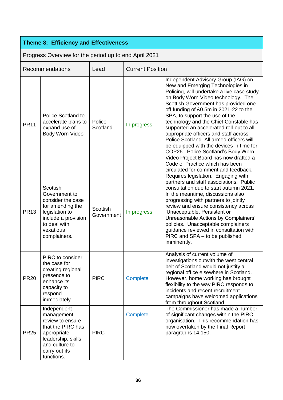### **Theme 8: Efficiency and Effectiveness**

Progress Overview for the period up to end April 2021 Recommendations Lead Current Position PR11 Police Scotland to accelerate plans to expand use of Body Worn Video Police<br>Scotland In progress Independent Advisory Group (IAG) on New and Emerging Technologies in Policing, will undertake a live case study on Body Worn Video technology. The Scottish Government has provided oneoff funding of £0.5m in 2021-22 to the SPA, to support the use of the technology and the Chief Constable has supported an accelerated roll-out to all appropriate officers and staff across Police Scotland. All armed officers will be equipped with the devices in time for COP26. Police Scotland's Body Worn Video Project Board has now drafted a Code of Practice which has been circulated for comment and feedback. PR13 **Scottish** Government to consider the case for amending the legislation to include a provision to deal with vexatious complainers. **Scottish** Government | In progress Requires legislation. Engaging with partners and staff associations. Public consultation due to start autumn 2021. In the meantime, discussions also progressing with partners to jointly review and ensure consistency across 'Unacceptable, Persistent or Unreasonable Actions by Complainers' policies. Unacceptable complainers guidance reviewed in consultation with PIRC and SPA – to be published imminently. PR20 PIRC to consider the case for creating regional presence to enhance its capacity to respond immediately PIRC Complete Analysis of current volume of investigations outwith the west central belt of Scotland would not justify a regional office elsewhere in Scotland. However, home working has brought flexibility to the way PIRC responds to incidents and recent recruitment campaigns have welcomed applications from throughout Scotland. PR25 Independent management review to ensure that the PIRC has appropriate leadership, skills and culture to carry out its functions. PIRC **Complete** The Commissioner has made a number of significant changes within the PIRC organisation. This recommendation has now overtaken by the Final Report paragraphs 14.150.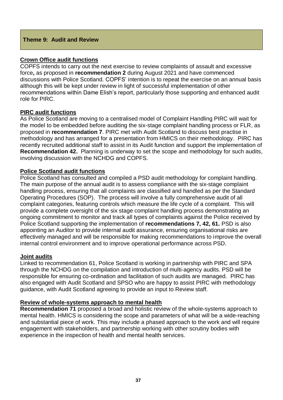### **Theme 9: Audit and Review**

### **Crown Office audit functions**

COPFS intends to carry out the next exercise to review complaints of assault and excessive force**,** as proposed in **recommendation 2** during August 2021 and have commenced discussions with Police Scotland. COPFS' intention is to repeat the exercise on an annual basis although this will be kept under review in light of successful implementation of other recommendations within Dame Elish's report, particularly those supporting and enhanced audit role for PIRC.

### **PIRC audit functions**

As Police Scotland are moving to a centralised model of Complaint Handling PIRC will wait for the model to be embedded before auditing the six-stage complaint handling process or FLR, as proposed in **recommendation 7**. PIRC met with Audit Scotland to discuss best practise in methodology and has arranged for a presentation from HMICS on their methodology. PIRC has recently recruited additional staff to assist in its Audit function and support the implementation of **Recommendation 42.** Planning is underway to set the scope and methodology for such audits, involving discussion with the NCHDG and COPFS.

### **Police Scotland audit functions**

Police Scotland has consulted and compiled a PSD audit methodology for complaint handling. The main purpose of the annual audit is to assess compliance with the six-stage complaint handling process, ensuring that all complaints are classified and handled as per the Standard Operating Procedures (SOP). The process will involve a fully comprehensive audit of all complaint categories, featuring controls which measure the life cycle of a complaint. This will provide a complete oversight of the six stage complaint handling process demonstrating an ongoing commitment to monitor and track all types of complaints against the Police received by Police Scotland supporting the implementation of **recommendations 7, 42, 61.** PSD is also appointing an Auditor to provide internal audit assurance, ensuring organisational risks are effectively managed and will be responsible for making recommendations to improve the overall internal control environment and to improve operational performance across PSD.

### **Joint audits**

Linked to recommendation 61, Police Scotland is working in partnership with PIRC and SPA through the NCHDG on the compilation and introduction of multi-agency audits. PSD will be responsible for ensuring co-ordination and facilitation of such audits are managed. PIRC has also engaged with Audit Scotland and SPSO who are happy to assist PIRC with methodology guidance, with Audit Scotland agreeing to provide an input to Review staff.

### **Review of whole-systems approach to mental health**

**Recommendation 71** proposed a broad and holistic review of the whole-systems approach to mental health. HMICS is considering the scope and parameters of what will be a wide-reaching and substantial piece of work. This may include a phased approach to the work and will require engagement with stakeholders, and partnership working with other scrutiny bodies with experience in the inspection of health and mental health services.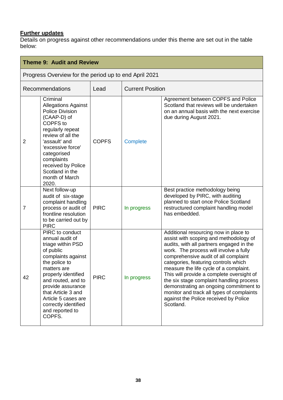### **Further updates**

| <b>Theme 9: Audit and Review</b>                      |                                                                                                                                                                                                                                                                                                |              |                         |                                                                                                                                                                                                                                                                                                                                                                                                                                                                                                                                       |  |
|-------------------------------------------------------|------------------------------------------------------------------------------------------------------------------------------------------------------------------------------------------------------------------------------------------------------------------------------------------------|--------------|-------------------------|---------------------------------------------------------------------------------------------------------------------------------------------------------------------------------------------------------------------------------------------------------------------------------------------------------------------------------------------------------------------------------------------------------------------------------------------------------------------------------------------------------------------------------------|--|
| Progress Overview for the period up to end April 2021 |                                                                                                                                                                                                                                                                                                |              |                         |                                                                                                                                                                                                                                                                                                                                                                                                                                                                                                                                       |  |
| <b>Recommendations</b>                                |                                                                                                                                                                                                                                                                                                | Lead         | <b>Current Position</b> |                                                                                                                                                                                                                                                                                                                                                                                                                                                                                                                                       |  |
| $\overline{2}$                                        | Criminal<br><b>Allegations Against</b><br>Police Division<br>(CAAP-D) of<br>COPFS to<br>regularly repeat<br>review of all the<br>'assault' and<br>'excessive force'<br>categorised<br>complaints<br>received by Police<br>Scotland in the<br>month of March<br>2020.                           | <b>COPFS</b> | <b>Complete</b>         | Agreement between COPFS and Police<br>Scotland that reviews will be undertaken<br>on an annual basis with the next exercise<br>due during August 2021.                                                                                                                                                                                                                                                                                                                                                                                |  |
| 7                                                     | Next follow-up<br>audit of six-stage<br>complaint handling<br>process or audit of<br>frontline resolution<br>to be carried out by<br><b>PIRC</b>                                                                                                                                               | <b>PIRC</b>  | In progress             | Best practice methodology being<br>developed by PIRC, with auditing<br>planned to start once Police Scotland<br>restructured complaint handling model<br>has embedded.                                                                                                                                                                                                                                                                                                                                                                |  |
| 42                                                    | PIRC to conduct<br>annual audit of<br>triage within PSD<br>of public<br>complaints against<br>the police to<br>matters are<br>properly identified<br>and routed, and to<br>provide assurance<br>that Article 3 and<br>Article 5 cases are<br>correctly identified<br>and reported to<br>COPFS. | <b>PIRC</b>  | In progress             | Additional resourcing now in place to<br>assist with scoping and methodology of<br>audits, with all partners engaged in the<br>work. The process will involve a fully<br>comprehensive audit of all complaint<br>categories, featuring controls which<br>measure the life cycle of a complaint.<br>This will provide a complete oversight of<br>the six stage complaint handling process<br>demonstrating an ongoing commitment to<br>monitor and track all types of complaints<br>against the Police received by Police<br>Scotland. |  |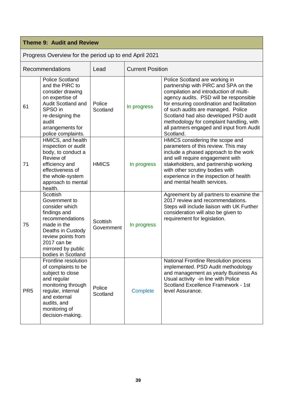### **Theme 9: Audit and Review**

| Recommendations |                                                                                                                                                                                                     | Lead                   | <b>Current Position</b> |                                                                                                                                                                                                                                                                                                                                                                                               |
|-----------------|-----------------------------------------------------------------------------------------------------------------------------------------------------------------------------------------------------|------------------------|-------------------------|-----------------------------------------------------------------------------------------------------------------------------------------------------------------------------------------------------------------------------------------------------------------------------------------------------------------------------------------------------------------------------------------------|
| 61              | <b>Police Scotland</b><br>and the PIRC to<br>consider drawing<br>on expertise of<br><b>Audit Scotland and</b><br>SPSO in<br>re-designing the<br>audit<br>arrangements for<br>police complaints.     | Police<br>Scotland     | In progress             | Police Scotland are working in<br>partnership with PIRC and SPA on the<br>compilation and introduction of multi-<br>agency audits. PSD will be responsible<br>for ensuring coordination and facilitation<br>of such audits are managed. Police<br>Scotland had also developed PSD audit<br>methodology for complaint handling, with<br>all partners engaged and input from Audit<br>Scotland. |
| 71              | HMICS, and health<br>inspection or audit<br>body, to conduct a<br>Review of<br>efficiency and<br>effectiveness of<br>the whole-system<br>approach to mental<br>health.                              | <b>HMICS</b>           | In progress             | HMICS considering the scope and<br>parameters of this review. This may<br>include a phased approach to the work<br>and will require engagement with<br>stakeholders, and partnership working<br>with other scrutiny bodies with<br>experience in the inspection of health<br>and mental health services.                                                                                      |
| 75              | Scottish<br>Government to<br>consider which<br>findings and<br>recommendations<br>made in the<br>Deaths in Custody<br>review points from<br>2017 can be<br>mirrored by public<br>bodies in Scotland | Scottish<br>Government | In progress             | Agreement by all partners to examine the<br>2017 review and recommendations.<br>Steps will include liaison with UK Further<br>consideration will also be given to<br>requirement for legislation.                                                                                                                                                                                             |
| PR <sub>5</sub> | Frontline resolution<br>of complaints to be<br>subject to close<br>and regular<br>monitoring through<br>regular, internal<br>and external<br>audits, and<br>monitoring of<br>decision-making.       | Police<br>Scotland     | Complete                | National Frontline Resolution process<br>implemented. PSD Audit methodology<br>and management as yearly Business As<br>Usual activity -in line with Police<br>Scotland Excellence Framework - 1st<br>level Assurance.                                                                                                                                                                         |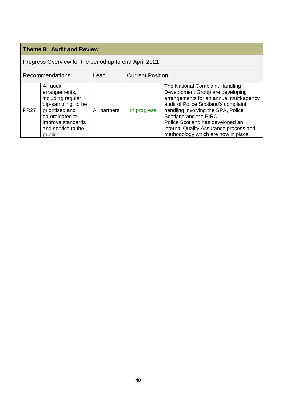### **Theme 9: Audit and Review**

| Recommendations |                                                                                                                                                                   | Lead         | <b>Current Position</b> |                                                                                                                                                                                                                                                                                                                                             |
|-----------------|-------------------------------------------------------------------------------------------------------------------------------------------------------------------|--------------|-------------------------|---------------------------------------------------------------------------------------------------------------------------------------------------------------------------------------------------------------------------------------------------------------------------------------------------------------------------------------------|
| <b>PR27</b>     | All audit<br>arrangements,<br>including regular<br>dip-sampling, to be<br>prioritised and<br>co-ordinated to<br>improve standards<br>and service to the<br>public | All partners | In progress             | The National Complaint Handling<br>Development Group are developing<br>arrangements for an annual multi-agency<br>audit of Police Scotland's complaint<br>handling involving the SPA, Police<br>Scotland and the PIRC.<br>Police Scotland has developed an<br>internal Quality Assurance process and<br>methodology which are now in place. |